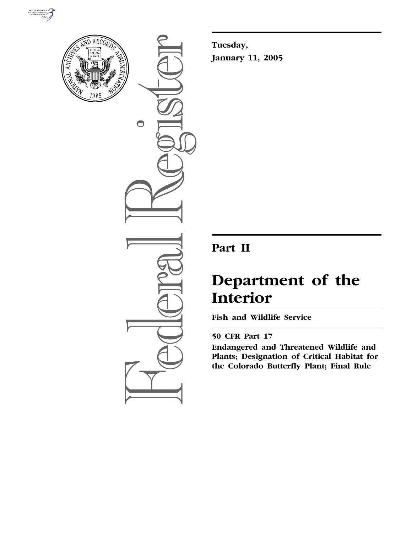



 $\bigcirc$ 

**Tuesday, January 11, 2005**

## **Part II**

# **Department of the Interior**

**Fish and Wildlife Service** 

### **50 CFR Part 17**

**Endangered and Threatened Wildlife and Plants; Designation of Critical Habitat for the Colorado Butterfly Plant; Final Rule**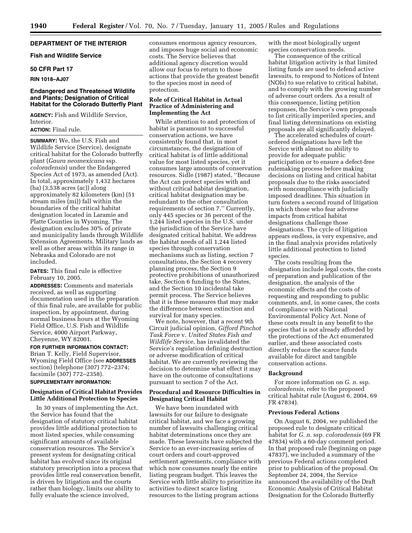#### **DEPARTMENT OF THE INTERIOR**

#### **Fish and Wildlife Service**

#### **50 CFR Part 17**

#### **RIN 1018–AJ07**

#### **Endangered and Threatened Wildlife and Plants; Designation of Critical Habitat for the Colorado Butterfly Plant**

**AGENCY:** Fish and Wildlife Service, Interior.

#### **ACTION:** Final rule.

**SUMMARY:** We, the U.S. Fish and Wildlife Service (Service), designate critical habitat for the Colorado butterfly plant (*Gaura neomexicana* ssp. *coloradensis*) under the Endangered Species Act of 1973, as amended (Act). In total, approximately 1,432 hectares (ha) (3,538 acres (ac)) along approximately 82 kilometers (km) (51 stream miles (mi)) fall within the boundaries of the critical habitat designation located in Laramie and Platte Counties in Wyoming. The designation excludes 30% of private and municipality lands through Wildlife Extension Agreements. Military lands as well as other areas within its range in Nebraska and Colorado are not included.

**DATES:** This final rule is effective February 10, 2005.

**ADDRESSES:** Comments and materials received, as well as supporting documentation used in the preparation of this final rule, are available for public inspection, by appointment, during normal business hours at the Wyoming Field Office, U.S. Fish and Wildlife Service, 4000 Airport Parkway, Cheyenne, WY 82001.

**FOR FURTHER INFORMATION CONTACT:** Brian T. Kelly, Field Supervisor, Wyoming Field Office (see **ADDRESSES** section) (telephone (307) 772–2374; facsimile (307) 772–2358).

#### **SUPPLEMENTARY INFORMATION:**

#### **Designation of Critical Habitat Provides Little Additional Protection to Species**

In 30 years of implementing the Act, the Service has found that the designation of statutory critical habitat provides little additional protection to most listed species, while consuming significant amounts of available conservation resources. The Service's present system for designating critical habitat has evolved since its original statutory prescription into a process that provides little real conservation benefit, is driven by litigation and the courts rather than biology, limits our ability to fully evaluate the science involved,

consumes enormous agency resources, and imposes huge social and economic costs. The Service believes that additional agency discretion would allow our focus to return to those actions that provide the greatest benefit to the species most in need of protection.

#### **Role of Critical Habitat in Actual Practice of Administering and Implementing the Act**

While attention to and protection of habitat is paramount to successful conservation actions, we have consistently found that, in most circumstances, the designation of critical habitat is of little additional value for most listed species, yet it consumes large amounts of conservation resources. Sidle (1987) stated, ''Because the Act can protect species with and without critical habitat designation, critical habitat designation may be redundant to the other consultation requirements of section 7.'' Currently, only 445 species or 36 percent of the 1,244 listed species in the U.S. under the jurisdiction of the Service have designated critical habitat. We address the habitat needs of all 1,244 listed species through conservation mechanisms such as listing, section 7 consultations, the Section 4 recovery planning process, the Section 9 protective prohibitions of unauthorized take, Section 6 funding to the States, and the Section 10 incidental take permit process. The Service believes that it is these measures that may make the difference between extinction and survival for many species.

We note, however, that a recent 9th Circuit judicial opinion, *Gifford Pinchot Task Force* v. *United States Fish and Wildlife Service*, has invalidated the Service's regulation defining destruction or adverse modification of critical habitat. We are currently reviewing the decision to determine what effect it may have on the outcome of consultations pursuant to section 7 of the Act.

#### **Procedural and Resource Difficulties in Designating Critical Habitat**

We have been inundated with lawsuits for our failure to designate critical habitat, and we face a growing number of lawsuits challenging critical habitat determinations once they are made. These lawsuits have subjected the Service to an ever-increasing series of court orders and court-approved settlement agreements, compliance with which now consumes nearly the entire listing program budget. This leaves the Service with little ability to prioritize its activities to direct scarce listing resources to the listing program actions

with the most biologically urgent species conservation needs.

The consequence of the critical habitat litigation activity is that limited listing funds are used to defend active lawsuits, to respond to Notices of Intent (NOIs) to sue relative to critical habitat, and to comply with the growing number of adverse court orders. As a result of this consequence, listing petition responses, the Service's own proposals to list critically imperiled species, and final listing determinations on existing proposals are all significantly delayed.

The accelerated schedules of courtordered designations have left the Service with almost no ability to provide for adequate public participation or to ensure a defect-free rulemaking process before making decisions on listing and critical habitat proposals due to the risks associated with noncompliance with judicially imposed deadlines. This situation in turn fosters a second round of litigation in which those who fear adverse impacts from critical habitat designations challenge those designations. The cycle of litigation appears endless, is very expensive, and in the final analysis provides relatively little additional protection to listed species.

The costs resulting from the designation include legal costs, the costs of preparation and publication of the designation, the analysis of the economic effects and the costs of requesting and responding to public comments, and, in some cases, the costs of compliance with National Environmental Policy Act. None of these costs result in any benefit to the species that is not already afforded by the protections of the Act enumerated earlier, and these associated costs directly reduce the scarce funds available for direct and tangible conservation actions.

#### **Background**

For more information on *G. n.* ssp. *coloradensis*, refer to the proposed critical habitat rule (August 6, 2004, 69 FR 47834).

#### **Previous Federal Actions**

On August 6, 2004, we published the proposed rule to designate critical habitat for *G. n.* ssp. *coloradensis* (69 FR 47834) with a 60-day comment period. In that proposed rule (beginning on page 47837), we included a summary of the previous Federal actions completed prior to publication of the proposal. On September 24, 2004, the Service announced the availability of the Draft Economic Analysis of Critical Habitat Designation for the Colorado Butterfly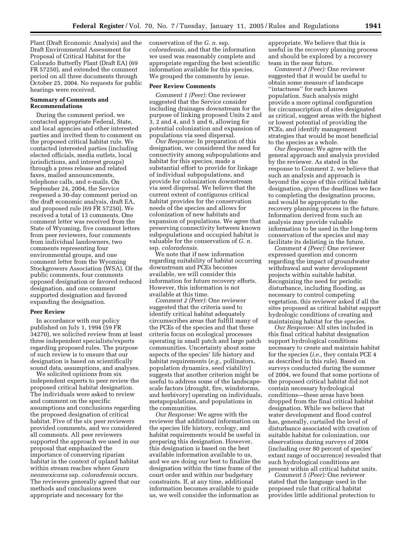Plant (Draft Economic Analysis) and the Draft Environmental Assessment for Proposal of Critical Habitat for the Colorado Butterfly Plant (Draft EA) (69 FR 57250), and extended the comment period on all three documents through October 25, 2004. No requests for public hearings were received.

#### **Summary of Comments and Recommendations**

During the comment period, we contacted appropriate Federal, State, and local agencies and other interested parties and invited them to comment on the proposed critical habitat rule. We contacted interested parties (including elected officials, media outlets, local jurisdictions, and interest groups) through a press release and related faxes, mailed announcements, telephone calls, and e-mails. On September 24, 2004, the Service reopened a 30-day comment period on the draft economic analysis, draft EA, and proposed rule (69 FR 57250). We received a total of 13 comments. One comment letter was received from the State of Wyoming, five comment letters from peer reviewers, four comments from individual landowners, two comments representing four environmental groups, and one comment letter from the Wyoming Stockgrowers Association (WSA). Of the public comments, four comments opposed designation or favored reduced designation, and one comment supported designation and favored expanding the designation.

#### **Peer Review**

In accordance with our policy published on July 1, 1994 (59 FR 34270), we solicited review from at least three independent specialists/experts regarding proposed rules. The purpose of such review is to ensure that our designation is based on scientifically sound data, assumptions, and analyses.

We solicited opinions from six independent experts to peer review the proposed critical habitat designation. The individuals were asked to review and comment on the specific assumptions and conclusions regarding the proposed designation of critical habitat. Five of the six peer reviewers provided comments, and we considered all comments. All peer reviewers supported the approach we used in our proposal that emphasized the importance of conserving riparian habitat in the context of upland habitat within stream reaches where *Gaura neomexicana* ssp. *coloradensis* occurs. The reviewers generally agreed that our methods and conclusions were appropriate and necessary for the

conservation of the *G. n.* ssp. *coloradensis*, and that the information we used was reasonably complete and appropriate regarding the best scientific information available for this species. We grouped the comments by issue.

#### **Peer Review Comments**

*Comment 1 (Peer):* One reviewer suggested that the Service consider including drainages downstream for the purpose of linking proposed Units 2 and 3, 2 and 4, and 5 and 6, allowing for potential colonization and expansion of populations via seed dispersal.

*Our Response:* In preparation of this designation, we considered the need for connectivity among subpopulations and habitat for this species, made a substantial effort to provide for linkage of individual subpopulations, and provide for colonization downstream via seed dispersal. We believe that the current extent of contiguous critical habitat provides for the conservation needs of the species and allows for colonization of new habitats and expansion of populations. We agree that preserving connectivity between known subpopulations and occupied habitat is valuable for the conservation of *G. n.* ssp. *coloradensis.*

We note that if new information regarding suitability of habitat occurring downstream and PCEs becomes available, we will consider this information for future recovery efforts. However, this information is not available at this time.

*Comment 2 (Peer):* One reviewer suggested that the criteria used to identify critical habitat adequately circumscribes areas that fulfill many of the PCEs of the species and that these criteria focus on ecological processes operating in small patch and large patch communities. Uncertainty about some aspects of the species' life history and habitat requirements (*e.g.,* pollinators, population dynamics, seed viability) suggests that another criterion might be useful to address some of the landscapescale factors (drought, fire, windstorms, and herbivory) operating on individuals, metapopulations, and populations in the communities.

*Our Response:* We agree with the reviewer that additional information on the species life history, ecology, and habitat requirements would be useful in preparing this designation. However, this designation is based on the best available information available to us, and we are doing our best to finalize the designation within the time frame of the court order and within our budgetary constraints. If, at any time, additional information becomes available to guide us, we well consider the information as

appropriate. We believe that this is useful in the recovery planning process and should be explored by a recovery team in the near future.

*Comment 3 (Peer):* One reviewer suggested that it would be useful to obtain some measure of landscape ''intactness'' for each known population. Such analysis might provide a more optimal configuration for circumscription of sites designated as critical, suggest areas with the highest or lowest potential of providing the PCEs, and identify management strategies that would be most beneficial to the species as a whole.

*Our Response:* We agree with the general approach and analysis provided by the reviewer. As stated in the response to Comment 2, we believe that such an analysis and approach is beyond the scope of this critical habitat designation, given the deadlines we face to completing the designation process, and would be appropriate to the recovery planning process in the future. Information derived from such an analysis may provide valuable information to be used in the long-term conservation of the species and may facilitate its delisting in the future.

*Comment 4 (Peer):* One reviewer expressed question and concern regarding the impact of groundwater withdrawal and water development projects within suitable habitat. Recognizing the need for periodic disturbance, including flooding, as necessary to control competing vegetation, this reviewer asked if all the sites proposed as critical habitat support hydrologic conditions of creating and maintaining habitat for the species.

*Our Response:* All sites included in this final critical habitat designation support hydrological conditions necessary to create and maintain habitat for the species (*i.e.,* they contain PCE 4 as described in this rule). Based on surveys conducted during the summer of 2004, we found that some portions of the proposed critical habitat did not contain necessary hydrological conditions—these areas have been dropped from the final critical habitat designation. While we believe that water development and flood control has, generally, curtailed the level of disturbance associated with creation of suitable habitat for colonization, our observations during surveys of 2004 (including over 80 percent of species' extant range of occurrence) revealed that such hydrological conditions are present within all critical habitat units.

*Comment 5 (Peer):* One reviewer stated that the language used in the proposed rule that critical habitat provides little additional protection to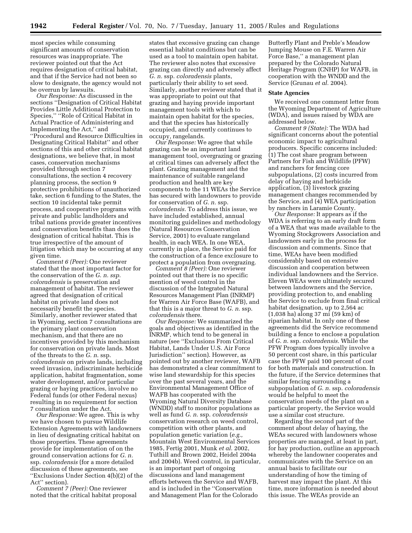most species while consuming significant amounts of conservation resources was inappropriate. The reviewer pointed out that the Act requires designation of critical habitat, and that if the Service had not been so slow to designate, the agency would not be overrun by lawsuits.

*Our Response:* As discussed in the sections ''Designation of Critical Habitat Provides Little Additional Protection to Species,'' ''Role of Critical Habitat in Actual Practice of Administering and Implementing the Act,'' and ''Procedural and Resource Difficulties in Designating Critical Habitat'' and other sections of this and other critical habitat designations, we believe that, in most cases, conservation mechanisms provided through section 7 consultations, the section 4 recovery planning process, the section 9 protective prohibitions of unauthorized take, section 6 funding to the States, the section 10 incidental take permit process, and cooperative programs with private and public landholders and tribal nations provide greater incentives and conservation benefits than does the designation of critical habitat. This is true irrespective of the amount of litigation which may be occurring at any given time.

*Comment 6 (Peer):* One reviewer stated that the most important factor for the conservation of the *G. n. ssp. coloradensis* is preservation and management of habitat. The reviewer agreed that designation of critical habitat on private land does not necessarily benefit the species. Similarly, another reviewer stated that in Wyoming, section 7 consultations are the primary plant conservation mechanism, and that there are no incentives provided by this mechanism for conservation on private lands. Most of the threats to the *G. n.* ssp. *coloradensis* on private lands, including weed invasion, indiscriminate herbicide application, habitat fragmentation, some water development, and/or particular grazing or haying practices, involve no Federal funds (or other Federal nexus) resulting in no requirement for section 7 consultation under the Act.

*Our Response:* We agree. This is why we have chosen to pursue Wildlife Extension Agreements with landowners in lieu of designating critical habitat on those properties. These agreements provide for implementation of on the ground conservation actions for *G. n.* ssp. *coloradensis* (for a more detailed discussion of these agreements, see ''Exclusions Under Section 4(b)(2) of the Act'' section).

*Comment 7 (Peer):* One reviewer noted that the critical habitat proposal

states that excessive grazing can change essential habitat conditions but can be used as a tool to maintain open habitat. The reviewer also notes that excessive grazing can directly and adversely affect *G. n.* ssp. *coloradensis* plants, particularly their ability to set seed. Similarly, another reviewer stated that it was appropriate to point out that grazing and haying provide important management tools with which to maintain open habitat for the species, and that the species has historically occupied, and currently continues to occupy, rangelands.

*Our Response:* We agree that while grazing can be an important land management tool, overgrazing or grazing at critical times can adversely affect the plant. Grazing management and the maintenance of suitable rangeland production and health are key components to the 11 WEAs the Service has secured with landowners to provide for conservation of *G. n.* ssp. *coloradensis.* To address this issue, we have included established, annual monitoring guidelines and methodology (Natural Resources Conservation Service, 2001) to evaluate rangeland health, in each WEA. In one WEA, currently in place, the Service paid for the construction of a fence exclosure to protect a population from overgrazing.

*Comment 8 (Peer):* One reviewer pointed out that there is no specific mention of weed control in the discussion of the Integrated Natural Resources Management Plan (INRMP) for Warren Air Force Base (WAFB), and that this is a major threat to *G. n.* ssp. *coloradensis* there.

*Our Response:* We summarized the goals and objectives as identified in the INRMP, which tend to be general in nature (see ''Exclusions From Critical Habitat, Lands Under U.S. Air Force Jurisdiction'' section). However, as pointed out by another reviewer, WAFB has demonstrated a clear commitment to wise land stewardship for this species over the past several years, and the Environmental Management Office of WAFB has cooperated with the Wyoming Natural Diversity Database (WNDD) staff to monitor populations as well as fund *G. n.* ssp. *coloradensis* conservation research on weed control, competition with other plants, and population genetic variation (*e.g.,* Mountain West Environmental Services 1985, Fertig 2001, Munk *et al.* 2002, Tuthill and Brown 2002, Heidel 2004a and 2004b). Weed control, in particular, is an important part of ongoing discussions and land management efforts between the Service and WAFB, and is included in the ''Conservation and Management Plan for the Colorado

Butterfly Plant and Preble's Meadow Jumping Mouse on F.E. Warren Air Force Base,'' a management plan prepared by the Colorado Natural Heritage Program (CNHP) for WAFB, in cooperation with the WNDD and the Service (Grunau *et al.* 2004).

#### **State Agencies**

We received one comment letter from the Wyoming Department of Agriculture (WDA), and issues raised by WDA are addressed below.

*Comment 9 (State):* The WDA had significant concerns about the potential economic impact to agricultural producers. Specific concerns included: (1) The cost share program between Partners for Fish and Wildlife (PFW) and ranchers for fencing core subpopulations, (2) costs incurred from delay of haying and herbicide application, (3) livestock grazing management changes recommended by the Service, and (4) WEA participation by ranchers in Laramie County.

*Our Response:* It appears as if the WDA is referring to an early draft form of a WEA that was made available to the Wyoming Stockgrowers Association and landowners early in the process for discussion and comments. Since that time, WEAs have been modified considerably based on extensive discussion and cooperation between individual landowners and the Service. Eleven WEAs were ultimately secured between landowners and the Service, providing protection to, and enabling the Service to exclude from final critical habitat designation, up to 2,564 ac (1,038 ha) along 37 mi (59 km) of riparian habitat. In only one of these agreements did the Service recommend building a fence to enclose a population of *G. n.* ssp. *coloradensis.* While the PFW Program does typically involve a 50 percent cost share, in this particular case the PFW paid 100 percent of cost for both materials and construction. In the future, if the Service determines that similar fencing surrounding a subpopulation of *G. n.* ssp. *coloradensis* would be helpful to meet the conservation needs of the plant on a particular property, the Service would use a similar cost structure.

Regarding the second part of the comment about delay of haying, the WEAs secured with landowners whose properties are managed, at least in part, for hay production, outline an approach whereby the landowner cooperates and communicates with the Service on an annual basis to facilitate our understanding of how the timing of harvest may impact the plant. At this time, more information is needed about this issue. The WEAs provide an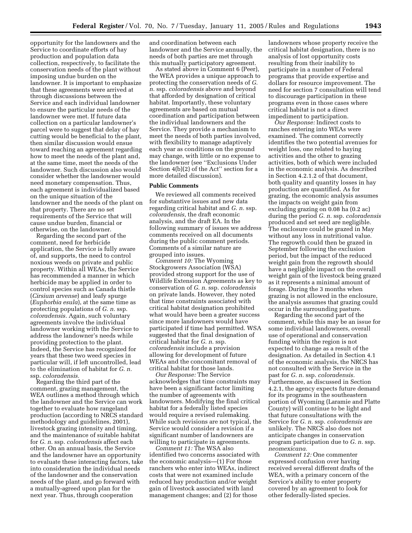opportunity for the landowners and the Service to coordinate efforts of hay production and population data collection, respectively, to facilitate the conservation needs of the plant without imposing undue burden on the landowner. It is important to emphasize that these agreements were arrived at through discussions between the Service and each individual landowner to ensure the particular needs of the landowner were met. If future data collection on a particular landowner's parcel were to suggest that delay of hay cutting would be beneficial to the plant, then similar discussion would ensue toward reaching an agreement regarding how to meet the needs of the plant and, at the same time, meet the needs of the landowner. Such discussion also would consider whether the landowner would need monetary compensation. Thus, each agreement is individualized based on the unique situation of the landowner and the needs of the plant on that property. There are no set requirements of the Service that will cause undue burden, financial or otherwise, on the landowner.

Regarding the second part of the comment, need for herbicide application, the Service is fully aware of, and supports, the need to control noxious weeds on private and public property. Within all WEAs, the Service has recommended a manner in which herbicide may be applied in order to control species such as Canada thistle (*Cirsium arvense*) and leafy spurge (*Euphorbia esula*), at the same time as protecting populations of *G. n.* ssp. *coloradensis.* Again, such voluntary agreements involve the individual landowner working with the Service to address the landowner's needs while providing protection to the plant. Indeed, the Service has recognized for years that these two weed species in particular will, if left uncontrolled, lead to the elimination of habitat for *G. n.* ssp. *coloradensis.*

Regarding the third part of the comment, grazing management, the WEA outlines a method through which the landowner and the Service can work together to evaluate how rangeland production (according to NRCS standard methodology and guidelines, 2001), livestock grazing intensity and timing, and the maintenance of suitable habitat for *G. n.* ssp. *coloradensis* affect each other. On an annual basis, the Service and the landowner have an opportunity to evaluate these interacting factors, take into consideration the individual needs of the landowner and the conservation needs of the plant, and go forward with a mutually-agreed upon plan for the next year. Thus, through cooperation

and coordination between each landowner and the Service annually, the needs of both parties are met through this mutually participatory agreement.

As stated above in Comment 6 (Peer), the WEA provides a unique approach to protecting the conservation needs of *G. n.* ssp. *coloradensis* above and beyond that afforded by designation of critical habitat. Importantly, these voluntary agreements are based on mutual coordination and participation between the individual landowners and the Service. They provide a mechanism to meet the needs of both parties involved, with flexibility to manage adaptively each year as conditions on the ground may change, with little or no expense to the landowner (see ''Exclusions Under Section 4(b)(2) of the Act'' section for a more detailed discussion).

#### **Public Comments**

We reviewed all comments received for substantive issues and new data regarding critical habitat and *G. n.* ssp. *coloradensis,* the draft economic analysis, and the draft EA. In the following summary of issues we address comments received on all documents during the public comment periods. Comments of a similar nature are grouped into issues.

*Comment 10:* The Wyoming Stockgrowers Association (WSA) provided strong support for the use of Wildlife Extension Agreements as key to conservation of *G. n.* ssp. *coloradensis* on private lands. However, they noted that time constraints associated with critical habitat designation prohibited what would have been a greater success since more landowners would have participated if time had permitted. WSA suggested that the final designation of critical habitat for *G. n.* ssp. *coloradensis* include a provision allowing for development of future WEAs and the concomitant removal of critical habitat for those lands.

*Our Response:* The Service acknowledges that time constraints may have been a significant factor limiting the number of agreements with landowners. Modifying the final critical habitat for a federally listed species would require a revised rulemaking. While such revisions are not typical, the Service would consider a revision if a significant number of landowners are willing to participate in agreements.

*Comment 11:* The WSA also identified two concerns associated with the economic analysis—(1) For those ranchers who enter into WEAs, indirect costs that were not examined include reduced hay production and/or weight gain of livestock associated with land management changes; and (2) for those

landowners whose property receive the critical habitat designation, there is no analysis of lost opportunity costs resulting from their inability to participate in a number of Federal programs that provide expertise and dollars for resource improvement. The need for section 7 consultation will tend to discourage participation in these programs even in those cases where critical habitat is not a direct impediment to participation.

*Our Response:* Indirect costs to ranches entering into WEAs were examined. The comment correctly identifies the two potential avenues for weight loss, one related to haying activities and the other to grazing activities, both of which were included in the economic analysis. As described in Section 4.2.1.2 of that document, both quality and quantity losses in hay production are quantified. As for grazing, the economic analysis assumes the impacts on weight gain from excluding grazing on 0.08 ha (0.2 ac) during the period *G. n.* ssp. *coloradensis* produced and set seed are negligible. The enclosure could be grazed in May without any loss in nutritional value. The regrowth could then be grazed in September following the exclusion period, but the impact of the reduced weight gain from the regrowth should have a negligible impact on the overall weight gain of the livestock being grazed as it represents a minimal amount of forage. During the 3 months when grazing is not allowed in the enclosure, the analysis assumes that grazing could occur in the surrounding pasture.

Regarding the second part of the comment, while this may be an issue for some individual landowners, overall use of operational and conservation funding within the region is not expected to change as a result of the designation. As detailed in Section 4.1 of the economic analysis, the NRCS has not consulted with the Service in the past for *G. n.* ssp. *coloradensis.* Furthermore, as discussed in Section 4.2.1, the agency expects future demand for its programs in the southeastern portion of Wyoming (Laramie and Platte County) will continue to be light and that future consultations with the Service for *G. n.* ssp. *coloradensis* are unlikely. The NRCS also does not anticipate changes in conservation program participation due to *G. n.* ssp. *neomexicana.*

*Comment 12:* One commenter expressed confusion over having received several different drafts of the WEA, with a primary concern of the Service's ability to enter property covered by an agreement to look for other federally-listed species.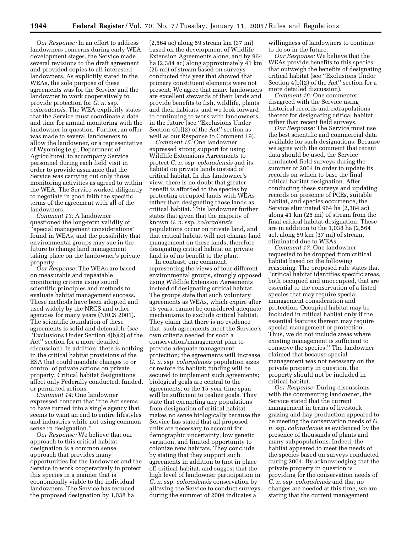*Our Response:* In an effort to address landowners concerns during early WEA development stages, the Service made several revisions to the draft agreement and provided copies to all interested landowners. As explicitly stated in the WEAs, the sole purpose of these agreements was for the Service and the landowner to work cooperatively to provide protection for *G. n.* ssp. *coloradensis.* The WEA explicitly states that the Service must coordinate a date and time for annual monitoring with the landowner in question. Further, an offer was made to several landowners to allow the landowner, or a representative of Wyoming (*e.g.*, Department of Agriculture), to accompany Service personnel during each field visit in order to provide assurance that the Service was carrying out only those monitoring activities as agreed to within the WEA. The Service worked diligently to negotiate in good faith the specific terms of the agreement with all of the landowners.

*Comment 13:* A landowner questioned the long-term validity of ''special management considerations'' found in WEAs, and the possibility that environmental groups may sue in the future to change land management taking place on the landowner's private property.

*Our Response:* The WEAs are based on measurable and repeatable monitoring criteria using sound scientific principles and methods to evaluate habitat management success. These methods have been adopted and used widely by the NRCS and other agencies for many years (NRCS 2001). The scientific foundation of these agreements is solid and defensible (*see* ''Exclusions Under Section 4(b)(2) of the Act'' section for a more detailed discussion). In addition, there is nothing in the critical habitat provisions of the ESA that could mandate changes to or control of private actions on private property. Critical habitat designations affect only Federally conducted, funded, or permitted actions.

*Comment 14:* One landowner expressed concern that ''the Act seems to have turned into a single agency that seems to want an end to entire lifestyles and industries while not using common sense in designation.''

*Our Response:* We believe that our approach to this critical habitat designation is a common sense approach that provides many opportunities for the landowner and the Service to work cooperatively to protect this species in a manner that is economically viable to the individual landowners. The Service has reduced the proposed designation by 1,038 ha

(2,564 ac) along 59 stream km (37 mi) based on the development of Wildlife Extension Agreements alone, and by 964 ha (2,384 ac) along approximately 41 km (25 mi) of stream based on surveys conducted this year that showed that primary constituent elements were not present. We agree that many landowners are excellent stewards of their lands and provide benefits to fish, wildlife, plants and their habitats, and we look forward to continuing to work with landowners in the future (see ''Exclusions Under Section 4(b)(2) of the Act'' section as well as our Response to Comment 19).

*Comment 15:* One landowner expressed strong support for using Wildlife Extensions Agreements to protect *G. n.* ssp. *coloradensis* and its habitat on private lands instead of critical habitat. In this landowner's view, there is no doubt that greater benefit is afforded to the species by protecting occupied lands with WEAs rather than designating those lands as critical habitat. This landowner further states that given that the majority of known *G. n.* ssp. *coloradensis* populations occur on private land, and that critical habitat will not change land management on these lands, therefore designating critical habitat on private land is of no benefit to the plant.

In contrast, one comment, representing the views of four different environmental groups, strongly opposed using Wildlife Extension Agreements instead of designating critical habitat. The groups state that such voluntary agreements as WEAs, which expire after 15 years, cannot be considered adequate mechanisms to exclude critical habitat. They claim that there is no evidence that, such agreements meet the Service's own criteria needed for such a conservation/management plan to provide adequate management protection; the agreements will increase *G. n.* ssp. *coloradensis* population sizes or restore its habitat; funding will be secured to implement such agreements; biological goals are central to the agreements; or the 15-year time span will be sufficient to realize goals. They state that exempting any populations from designation of critical habitat makes no sense biologically because the Service has stated that all proposed units are necessary to account for demographic uncertainty, low genetic variation, and limited opportunity to colonize new habitats. They conclude by stating that they support such agreements in addition to (not in place of) critical habitat, and suggest that the high level of landowner participation in *G. n.* ssp. *coloradensis* conservation by allowing the Service to conduct surveys during the summer of 2004 indicates a

willingness of landowners to continue to do so in the future.

*Our Response:* We believe that the WEAs provide benefits to this species that outweigh the benefits of designating critical habitat (see ''Exclusions Under Section 4(b)(2) of the Act'' section for a more detailed discussion).

*Comment 16:* One commenter disagreed with the Service using historical records and extrapolations thereof for designating critical habitat rather than recent field surveys.

*Our Response:* The Service must use the best scientific and commercial data available for such designations. Because we agree with the comment that recent data should be used, the Service conducted field surveys during the summer of 2004 in order to update its records on which to base the final critical habitat designation. After conducting these surveys and updating records on presence of PCEs, suitable habitat, and species occurrence, the Service eliminated 964 ha (2,384 ac) along 41 km (25 mi) of stream from the final critical habitat designation. These are in addition to the 1,038 ha (2,564 ac), along 59 km (37 mi) of stream, eliminated due to WEAs.

*Comment 17:* One landowner requested to be dropped from critical habitat based on the following reasoning. The proposed rule states that ''critical habitat identifies specific areas, both occupied and unoccupied, that are essential to the conservation of a listed species that may require special management consideration and protection. Occupied habitat may be included in critical habitat only if the essential features thereon may require special management or protection. Thus, we do not include areas where existing management is sufficient to conserve the species.'' The landowner claimed that because special management was not necessary on the private property in question, the property should not be included in critical habitat.

*Our Response:* During discussions with the commenting landowner, the Service stated that the current management in terms of livestock grazing and hay production appeared to be meeting the conservation needs of *G. n.* ssp. *coloradensis* as evidenced by the presence of thousands of plants and many subpopulations. Indeed, the habitat appeared to meet the needs of the species based on surveys conducted during 2004. By acknowledging that the private property in question is providing for the conservation needs of *G. n.* ssp. *coloradensis* and that no changes are needed at this time, we are stating that the current management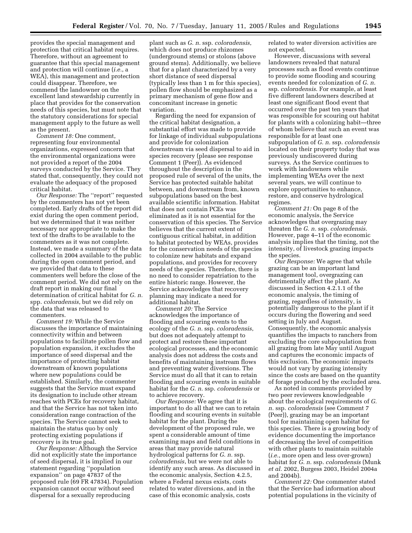provides the special management and protection that critical habitat requires. Therefore, without an agreement to guarantee that this special management and protection will continue (*i.e.*, a WEA), this management and protection could disappear. Therefore, we commend the landowner on the excellent land stewardship currently in place that provides for the conservation needs of this species, but must note that the statutory considerations for special management apply to the future as well as the present.

*Comment 18:* One comment, representing four environmental organizations, expressed concern that the environmental organizations were not provided a report of the 2004 surveys conducted by the Service. They stated that, consequently, they could not evaluate the adequacy of the proposed critical habitat.

*Our Response:* The ''report'' requested by the commenters has not yet been completed. Early drafts of the report did exist during the open comment period, but we determined that it was neither necessary nor appropriate to make the text of the drafts to be available to the commenters as it was not complete. Instead, we made a summary of the data collected in 2004 available to the public during the open comment period, and we provided that data to these commenters well before the close of the comment period. We did not rely on the draft report in making our final determination of critical habitat for *G. n.* spp. *coloradensis*, but we did rely on the data that was released to commenters.

*Comment 19:* While the Service discusses the importance of maintaining connectivity within and between populations to facilitate pollen flow and population expansion, it excludes the importance of seed dispersal and the importance of protecting habitat downstream of known populations where new populations could be established. Similarly, the commenter suggests that the Service must expand its designation to include other stream reaches with PCEs for recovery habitat, and that the Service has not taken into consideration range contraction of the species. The Service cannot seek to maintain the status quo by only protecting existing populations if recovery is its true goal.

*Our Response:* Although the Service did not explicitly state the importance of seed dispersal, it is implied in our statement regarding ''population expansion'' on page 47837 of the proposed rule (69 FR 47834). Population expansion cannot occur without seed dispersal for a sexually reproducing

plant such as *G. n.* ssp. *coloradensis*, which does not produce rhizomes (underground stems) or stolons (above ground stems). Additionally, we believe that for a plant characterized by a very short distance of seed dispersal (typically less than 1 m for this species), pollen flow should be emphasized as a primary mechanism of gene flow and concomitant increase in genetic variation.

Regarding the need for expansion of the critical habitat designation, a substantial effort was made to provide for linkage of individual subpopulations and provide for colonization downstream via seed dispersal to aid in species recovery (please see response Comment 1 (Peer)). As evidenced throughout the description in the proposed rule of several of the units, the Service has protected suitable habitat between, and downstream from, known subpopulations based on the best available scientific information. Habitat that does not contain PCEs was eliminated as it is not essential for the conservation of this species. The Service believes that the current extent of contiguous critical habitat, in addition to habitat protected by WEAs, provides for the conservation needs of the species to colonize new habitats and expand populations, and provides for recovery needs of the species. Therefore, there is no need to consider repatriation to the entire historic range. However, the Service acknowledges that recovery planning may indicate a need for additional habitat.

*Comment 20:* The Service acknowledges the importance of flooding and scouring events to the ecology of the *G. n.* ssp. *coloradensis*, but does not adequately attempt to protect and restore these important ecological processes, and the economic analysis does not address the costs and benefits of maintaining instream flows and preventing water diversions. The Service must do all that it can to retain flooding and scouring events in suitable habitat for the *G. n.* ssp. *coloradensis* or to achieve recovery.

*Our Response:* We agree that it is important to do all that we can to retain flooding and scouring events in suitable habitat for the plant. During the development of the proposed rule, we spent a considerable amount of time examining maps and field conditions in areas that may provide natural hydrological patterns for *G. n.* ssp. *coloradensis*, but we were not able to identify any such areas. As discussed in the economic analysis, Section 4.2.5, where a Federal nexus exists, costs related to water diversions, and in the case of this economic analysis, costs

related to water diversion activities are not expected.

However, discussions with several landowners revealed that natural processes such as flood events continue to provide some flooding and scouring events needed for colonization of *G. n.* ssp. *coloradensis*. For example, at least five different landowners described at least one significant flood event that occurred over the past ten years that was responsible for scouring out habitat for plants with a colonizing habit—three of whom believe that such an event was responsible for at least one subpopulation of *G. n.* ssp. *coloradensis* located on their property today that was previously undiscovered during surveys. As the Service continues to work with landowners while implementing WEAs over the next several years, we will continue to explore opportunities to enhance, restore, and conserve hydrological regimes.

*Comment 21:* On page 8 of the economic analysis, the Service acknowledges that overgrazing may threaten the *G. n.* ssp. *coloradensis*. However, page 4–11 of the economic analysis implies that the timing, not the intensity, of livestock grazing impacts the species.

*Our Response:* We agree that while grazing can be an important land management tool, overgrazing can detrimentally affect the plant. As discussed in Section 4.2.1.1 of the economic analysis, the timing of grazing, regardless of intensity, is potentially dangerous to the plant if it occurs during the flowering and seed setting in July and August. Consequently, the economic analysis quantifies the impacts to ranchers from excluding the core subpopulation from all grazing from late May until August and captures the economic impacts of this exclusion. The economic impacts would not vary by grazing intensity since the costs are based on the quantity of forage produced by the excluded area.

As noted in comments provided by two peer reviewers knowledgeable about the ecological requirements of *G. n.* ssp. *coloradensis* (see Comment 7 (Peer)), grazing may be an important tool for maintaining open habitat for this species. There is a growing body of evidence documenting the importance of decreasing the level of competition with other plants to maintain suitable (*i.e.*, more open and less over-grown) habitat for *G. n.* ssp. *coloradensis* (Munk *et al.* 2002, Burgess 2003, Heidel 2004a and 2004b).

*Comment 22:* One commenter stated that the Service had information about potential populations in the vicinity of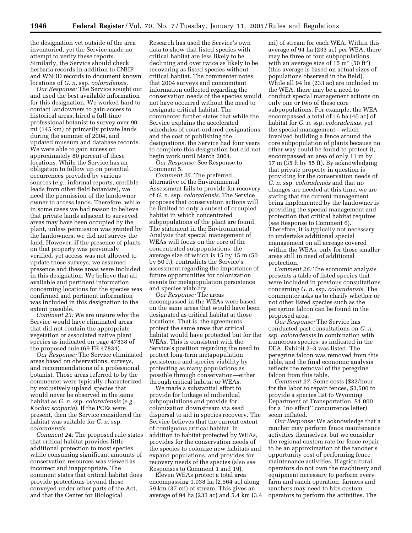the designation yet outside of the area inventoried, yet the Service made no attempt to verify these reports. Similarly, the Service should check herbaria records in addition to CNHP and WNDD records to document known locations of *G. n.* ssp. *coloradensis*.

*Our Response:* The Service sought out and used the best available information for this designation. We worked hard to contact landowners to gain access to historical areas, hired a full-time professional botanist to survey over 90 mi (145 km) of primarily private lands during the summer of 2004, and updated museum and database records. We were able to gain access on approximately 80 percent of these locations. While the Service has an obligation to follow up on potential occurrences provided by various sources (*e.g.*, informal reports, credible leads from other field botanists), we need the permission of the landowner owner to access lands. Therefore, while in some cases we had reason to believe that private lands adjacent to surveyed areas may have been occupied by the plant, unless permission was granted by the landowners, we did not survey the land. However, if the presence of plants on that property was previously verified, yet access was not allowed to update those surveys, we assumed presence and these areas were included in this designation. We believe that all available and pertinent information concerning locations for the species was confirmed and pertinent information was included in this designation to the extent possible.

*Comment 23:* We are unsure why the Service would have eliminated areas that did not contain the appropriate vegetation or associated native plant species as indicated on page 47838 of the proposed rule (69 FR 47834).

*Our Response:* The Service eliminated areas based on observations, surveys, and recommendations of a professional botanist. Those areas referred to by the commenter were typically characterized by exclusively upland species that would never be observed in the same habitat as *G. n.* ssp. *coloradensis* (*e.g.*, *Kochia scoparia*). If the PCEs were present, then the Service considered the habitat was suitable for *G. n.* ssp. *coloradensis*.

*Comment 24:* The proposed rule states that critical habitat provides little additional protection to most species while consuming significant amounts of conservation resources was viewed as incorrect and inappropriate. The comment states that critical habitat does provide protections beyond those conveyed under other parts of the Act, and that the Center for Biological

Research has used the Service's own data to show that listed species with critical habitat are less likely to be declining and over twice as likely to be recovering as listed species without critical habitat. The commenter notes that 2004 surveys and concomitant information collected regarding the conservation needs of the species would not have occurred without the need to designate critical habitat. The commenter further states that while the Service explains the accelerated schedules of court-ordered designations and the cost of publishing the designations, the Service had four years to complete this designation but did not begin work until March 2004.

*Our Response:* See Response to Comment 5.

*Comment 25:* The preferred alternative of the Environmental Assessment fails to provide for recovery of *G. n.* ssp. *coloradensis*. The Service proposes that conservation actions will be limited to only a subset of occupied habitat in which concentrated subpopulations of the plant are found. The statement in the Environmental Analysis that special management of WEAs will focus on the core of the concentrated subpopulations, the average size of which is 15 by 15 m (50 by 50 ft), contradicts the Service's assessment regarding the importance of future opportunities for colonization events for metapopulation persistence and species viability.

*Our Response:* The areas encompassed in the WEAs were based on the same areas that would have been designated as critical habitat at those locations. That is, the agreements protect the same areas that critical habitat would have protected but for the WEAs. This is consistent with the Service's position regarding the need to protect long-term metapopulation persistence and species viability by protecting as many populations as possible through conservation—either through critical habitat or WEAs.

We made a substantial effort to provide for linkage of individual subpopulations and provide for colonization downstream via seed dispersal to aid in species recovery. The Service believes that the current extent of contiguous critical habitat, in addition to habitat protected by WEAs, provides for the conservation needs of the species to colonize new habitats and expand populations, and provides for recovery needs of the species (also *see* Responses to Comment 1 and 19).

Eleven WEAs protect a total area encompassing 1,038 ha (2,564 ac) along 59 km (37 mi) of stream. This gives an average of 94 ha (233 ac) and 5.4 km (3.4

mi) of stream for each WEA. Within this average of 94 ha (233 ac) per WEA, there may be three or four subpopulations with an average size of  $15 \text{ m}^2$  (50 ft<sup>2</sup>) (this average is based on actual sizes of populations observed in the field). While all 94 ha (233 ac) are included in the WEA, there may be a need to conduct special management actions on only one or two of these core subpopulations. For example, the WEA encompassed a total of 16 ha (40 ac) of habitat for *G. n.* ssp. *coloradensis*, yet the special management—which involved building a fence around the core subpopulation of plants because no other way could be found to protect it, encompassed an area of only 11 m by 17 m (35 ft by 55 ft). By acknowledging that private property in question is providing for the conservation needs of *G. n.* ssp. *coloradensis* and that no changes are needed at this time, we are stating that the current management being implemented by the landowner is providing the special management and protection that critical habitat requires (*see* Response to Comment 6). Therefore, it is typically not necessary to undertake additional special management on all acreage covered within the WEAs, only for those smaller areas still in need of additional protection.

*Comment 26:* The economic analysis presents a table of listed species that were included in previous consultations concerning *G. n.* ssp. *coloradensis*. The commenter asks us to clarify whether or not other listed species such as the peregrine falcon can be found in the proposed area.

*Our Response:* The Service has conducted past consultations on *G. n.* ssp. *coloradensis* in combination with numerous species, as indicated in the DEA, Exhibit 2–3 was listed. The peregrine falcon was removed from this table, and the final economic analysis reflects the removal of the peregrine falcon from this table.

*Comment 27:* Some costs (\$32/hour for the labor to repair fences, \$3,500 to provide a species list to Wyoming Department of Transportation, \$1,000 for a ''no effect'' concurrence letter) seem inflated.

*Our Response:* We acknowledge that a rancher may perform fence maintenance activities themselves, but we consider the regional custom rate for fence repair to be an approximation of the rancher's opportunity cost of performing fence maintenance activities. If agricultural operators do not own the machinery and equipment necessary to perform every farm and ranch operation, farmers and ranchers may need to hire custom operators to perform the activities. The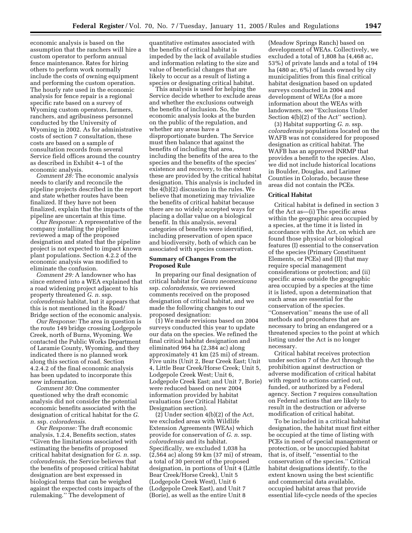economic analysis is based on the assumption that the ranchers will hire a custom operator to perform annual fence maintenance. Rates for hiring others to perform work normally include the costs of owning equipment and performing the custom operation. The hourly rate used in the economic analysis for fence repair is a regional specific rate based on a survey of Wyoming custom operators, farmers, ranchers, and agribusiness personnel conducted by the University of Wyoming in 2002. As for administrative costs of section 7 consultation, these costs are based on a sample of consultation records from several Service field offices around the country as described in Exhibit 4–1 of the economic analysis.

*Comment 28:* The economic analysis needs to clarify and reconcile the pipeline projects described in the report and state whether routes have been finalized. If they have not been finalized, explain that the impacts of the pipeline are uncertain at this time.

*Our Response:* A representative of the company installing the pipeline reviewed a map of the proposed designation and stated that the pipeline project is not expected to impact known plant populations. Section 4.2.2 of the economic analysis was modified to eliminate the confusion.

*Comment 29:* A landowner who has since entered into a WEA explained that a road widening project adjacent to his property threatened *G. n.* ssp. *coloradensis* habitat, but it appears that this is not mentioned in the Road/ Bridge section of the economic analysis.

*Our Response:* The area in question is the route 149 bridge crossing Lodgepole Creek, north of Burns, Wyoming. We contacted the Public Works Department of Laramie County, Wyoming, and they indicated there is no planned work along this section of road. Section 4.2.4.2 of the final economic analysis has been updated to incorporate this new information.

*Comment 30:* One commenter questioned why the draft economic analysis did not consider the potential economic benefits associated with the designation of critical habitat for the *G. n.* ssp. *coloradensis*.

*Our Response:* The draft economic analysis, 1.2.4, Benefits section, states ''Given the limitations associated with estimating the benefits of proposed critical habitat designation for *G. n.* ssp. *coloradensis*, the Service believes that the benefits of proposed critical habitat designation are best expressed in biological terms that can be weighed against the expected costs impacts of the rulemaking.'' The development of

quantitative estimates associated with the benefits of critical habitat is impeded by the lack of available studies and information relating to the size and value of beneficial changes that are likely to occur as a result of listing a species or designating critical habitat.

This analysis is used for helping the Service decide whether to exclude areas and whether the exclusions outweigh the benefits of inclusion. So, the economic analysis looks at the burden on the public of the regulation, and whether any areas have a disproportionate burden. The Service must then balance that against the benefits of including that area, including the benefits of the area to the species and the benefits of the species' existence and recovery, to the extent these are provided by the critical habitat designation. This analysis is included in the 4(b)(2) discussion in the rules. We believe that monetizing may trivialize the benefits of critical habitat because there are no widely accepted ways for placing a dollar value on a biological benefit. In this analysis, several categories of benefits were identified, including preservation of open space and biodiversity, both of which can be associated with species conservation.

#### **Summary of Changes From the Proposed Rule**

In preparing our final designation of critical habitat for *Gaura neomexicana* ssp. *coloradensis*, we reviewed comments received on the proposed designation of critical habitat, and we made the following changes to our proposed designation:

(1) We made revisions based on 2004 surveys conducted this year to update our data on the species. We refined the final critical habitat designation and eliminated 964 ha (2,384 ac) along approximately 41 km (25 mi) of stream. Five units (Unit 2, Bear Creek East; Unit 4, Little Bear Creek/Horse Creek; Unit 5, Lodgepole Creek West; Unit 6, Lodgepole Creek East; and Unit 7, Borie) were reduced based on new 2004 information provided by habitat evaluations (*see* Critical Habitat Designation section).

(2) Under section 4(b)(2) of the Act, we excluded areas with Wildlife Extension Agreements (WEAs) which provide for conservation of *G. n.* ssp. *coloradensis* and its habitat. Specifically, we excluded 1,038 ha (2,564 ac) along 59 km (37 mi) of stream, a total of 30 percent of the proposed designation, in portions of Unit 4 (Little Bear Creek/Horse Creek), Unit 5 (Lodgepole Creek West), Unit 6 (Lodgepole Creek East), and Unit 7 (Borie), as well as the entire Unit 8

(Meadow Springs Ranch) based on development of WEAs. Collectively, we excluded a total of 1,808 ha (4,468 ac, 53%) of private lands and a total of 194 ha (480 ac, 6%) of lands owned by city municipalities from this final critical habitat designation based on updated surveys conducted in 2004 and development of WEAs (for a more information about the WEAs with landowners, see ''Exclusions Under Section 4(b)(2) of the Act'' section).

(3) Habitat supporting *G. n.* ssp. *coloradensis* populations located on the WAFB was not considered for proposed designation as critical habitat. The WAFB has an approved INRMP that provides a benefit to the species. Also, we did not include historical locations in Boulder, Douglas, and Larimer Counties in Colorado, because these areas did not contain the PCEs.

#### **Critical Habitat**

Critical habitat is defined in section 3 of the Act as—(i) The specific areas within the geographic area occupied by a species, at the time it is listed in accordance with the Act, on which are found those physical or biological features (I) essential to the conservation of the species (Primary Constituent Elements, or PCEs) and (II) that may require special management considerations or protection; and (ii) specific areas outside the geographic area occupied by a species at the time it is listed, upon a determination that such areas are essential for the conservation of the species. ''Conservation'' means the use of all methods and procedures that are necessary to bring an endangered or a threatened species to the point at which listing under the Act is no longer necessary.

Critical habitat receives protection under section 7 of the Act through the prohibition against destruction or adverse modification of critical habitat with regard to actions carried out, funded, or authorized by a Federal agency. Section 7 requires consultation on Federal actions that are likely to result in the destruction or adverse modification of critical habitat.

To be included in a critical habitat designation, the habitat must first either be occupied at the time of listing with PCEs in need of special management or protection, or be unoccupied habitat that is, of itself, ''essential to the conservation of the species.'' Critical habitat designations identify, to the extent known using the best scientific and commercial data available, occupied habitat areas that provide essential life-cycle needs of the species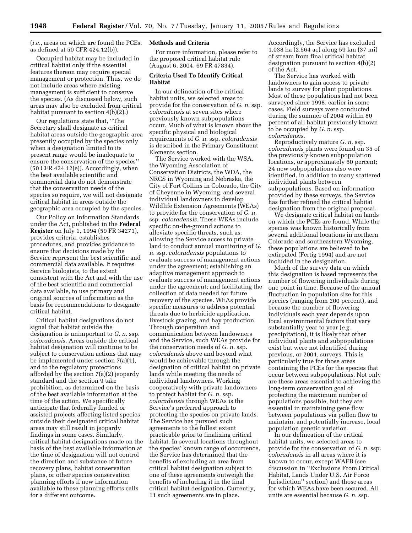(*i.e.*, areas on which are found the PCEs, as defined at 50 CFR 424.12(b)).

Occupied habitat may be included in critical habitat only if the essential features thereon may require special management or protection. Thus, we do not include areas where existing management is sufficient to conserve the species. (As discussed below, such areas may also be excluded from critical habitat pursuant to section 4(b)(2).)

Our regulations state that, ''The Secretary shall designate as critical habitat areas outside the geographic area presently occupied by the species only when a designation limited to its present range would be inadequate to ensure the conservation of the species''  $(50 \text{ CFR } 424.12(e))$ . Accordingly, when the best available scientific and commercial data do not demonstrate that the conservation needs of the species so require, we will not designate critical habitat in areas outside the geographic area occupied by the species.

Our Policy on Information Standards under the Act, published in the **Federal Register** on July 1, 1994 (59 FR 34271), provides criteria, establishes procedures, and provides guidance to ensure that decisions made by the Service represent the best scientific and commercial data available. It requires Service biologists, to the extent consistent with the Act and with the use of the best scientific and commercial data available, to use primary and original sources of information as the basis for recommendations to designate critical habitat.

Critical habitat designations do not signal that habitat outside the designation is unimportant to *G. n.* ssp. *coloradensis.* Areas outside the critical habitat designation will continue to be subject to conservation actions that may be implemented under section 7(a)(1), and to the regulatory protections afforded by the section 7(a)(2) jeopardy standard and the section 9 take prohibition, as determined on the basis of the best available information at the time of the action. We specifically anticipate that federally funded or assisted projects affecting listed species outside their designated critical habitat areas may still result in jeopardy findings in some cases. Similarly, critical habitat designations made on the basis of the best available information at the time of designation will not control the direction and substance of future recovery plans, habitat conservation plans, or other species conservation planning efforts if new information available to these planning efforts calls for a different outcome.

#### **Methods and Criteria**

For more information, please refer to the proposed critical habitat rule (August 6, 2004, 69 FR 47834).

#### **Criteria Used To Identify Critical Habitat**

In our delineation of the critical habitat units, we selected areas to provide for the conservation of *G. n.* ssp. *coloradensis* at seven sites where previously known subpopulations occur. Much of what is known about the specific physical and biological requirements of *G. n.* ssp. *coloradensis* is described in the Primary Constituent Elements section.

The Service worked with the WSA, the Wyoming Association of Conservation Districts, the WDA, the NRCS in Wyoming and Nebraska, the City of Fort Collins in Colorado, the City of Cheyenne in Wyoming, and several individual landowners to develop Wildlife Extension Agreements (WEAs) to provide for the conservation of *G. n.* ssp. *coloradensis.* These WEAs include specific on-the-ground actions to alleviate specific threats, such as: allowing the Service access to private land to conduct annual monitoring of *G. n.* ssp. *coloradensis* populations to evaluate success of management actions under the agreement; establishing an adaptive management approach to evaluate success of management actions under the agreement; and facilitating the collection of data needed for future recovery of the species. WEAs provide specific measures to address potential threats due to herbicide application, livestock grazing, and hay production. Through cooperation and communication between landowners and the Service, such WEAs provide for the conservation needs of *G. n.* ssp. *coloradensis* above and beyond what would be achievable through the designation of critical habitat on private lands while meeting the needs of individual landowners. Working cooperatively with private landowners to protect habitat for *G. n.* ssp. *coloradensis* through WEAs is the Service's preferred approach to protecting the species on private lands. The Service has pursued such agreements to the fullest extent practicable prior to finalizing critical habitat. In several locations throughout the species' known range of occurrence, the Service has determined that the benefits of excluding an area from critical habitat designation subject to one of these agreements outweigh the benefits of including it in the final critical habitat designation. Currently, 11 such agreements are in place.

Accordingly, the Service has excluded 1,038 ha (2,564 ac) along 59 km (37 mi) of stream from final critical habitat designation pursuant to section 4(b)(2) of the Act.

The Service has worked with landowners to gain access to private lands to survey for plant populations. Most of these populations had not been surveyed since 1998, earlier in some cases. Field surveys were conducted during the summer of 2004 within 80 percent of all habitat previously known to be occupied by *G. n.* ssp. *coloradensis.*

Reproductively mature *G. n.* ssp. *coloradensis* plants were found on 35 of the previously known subpopulation locations, or approximately 60 percent; 24 new subpopulations also were identified, in addition to many scattered individual plants between subpopulations. Based on information provided by these surveys, the Service has further refined the critical habitat designation from the original proposal.

We designate critical habitat on lands on which the PCEs are found. While the species was known historically from several additional locations in northern Colorado and southeastern Wyoming, these populations are believed to be extirpated (Fertig 1994) and are not included in the designation.

Much of the survey data on which this designation is based represents the number of flowering individuals during one point in time. Because of the annual fluctuation in population size for this species (ranging from 200 percent), and because the number of flowering individuals each year depends upon local environmental factors that vary substantially year to year (*e.g.*, precipitation), it is likely that other individual plants and subpopulations exist but were not identified during previous, or 2004, surveys. This is particularly true for those areas containing the PCEs for the species that occur between subpopulations. Not only are these areas essential to achieving the long-term conservation goal of protecting the maximum number of populations possible, but they are essential in maintaining gene flow between populations via pollen flow to maintain, and potentially increase, local population genetic variation.

In our delineation of the critical habitat units, we selected areas to provide for the conservation of *G. n.* ssp. *coloradensis* in all areas where it is known to occur, except WAFB (see discussion in ''Exclusions From Critical Habitat, Lands Under U.S. Air Force Jurisdiction'' section) and those areas for which WEAs have been secured. All units are essential because *G. n.* ssp.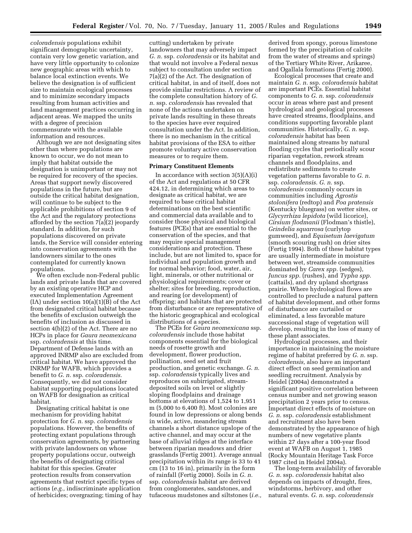*coloradensis* populations exhibit significant demographic uncertainty, contain very low genetic variation, and have very little opportunity to colonize new geographic areas with which to balance local extinction events. We believe the designation is of sufficient size to maintain ecological processes and to minimize secondary impacts resulting from human activities and land management practices occurring in adjacent areas. We mapped the units with a degree of precision commensurate with the available information and resources.

Although we are not designating sites other than where populations are known to occur, we do not mean to imply that habitat outside the designation is unimportant or may not be required for recovery of the species. Areas that support newly discovered populations in the future, but are outside the critical habitat designation, will continue to be subject to the applicable prohibitions of section 9 of the Act and the regulatory protections afforded by the section 7(a)(2) jeopardy standard. In addition, for such populations discovered on private lands, the Service will consider entering into conservation agreements with the landowners similar to the ones contemplated for currently known populations.

We often exclude non-Federal public lands and private lands that are covered by an existing operative HCP and executed Implementation Agreement  $(IA)$  under section  $10(a)(1)(B)$  of the Act from designated critical habitat because the benefits of exclusion outweigh the benefits of inclusion as discussed in section 4(b)(2) of the Act. There are no HCPs in place for *Gaura neomexicana* ssp. *coloradensis* at this time. Department of Defense lands with an approved INRMP also are excluded from critical habitat. We have approved the INRMP for WAFB, which provides a benefit to *G. n.* ssp. *coloradensis.* Consequently, we did not consider habitat supporting populations located on WAFB for designation as critical habitat.

Designating critical habitat is one mechanism for providing habitat protection for *G. n.* ssp. *coloradensis* populations. However, the benefits of protecting extant populations through conservation agreements, by partnering with private landowners on whose property populations occur, outweigh the benefits of designating critical habitat for this species. Greater protection results from conservation agreements that restrict specific types of actions (*e.g.,* indiscriminate application of herbicides; overgrazing; timing of hay

cutting) undertaken by private landowners that may adversely impact *G. n.* ssp. *coloradensis* or its habitat and that would not involve a Federal nexus subject to consultation under section 7(a)(2) of the Act. The designation of critical habitat, in and of itself, does not provide similar restrictions. A review of the complete consultation history of *G. n.* ssp. *coloradensis* has revealed that none of the actions undertaken on private lands resulting in these threats to the species have ever required consultation under the Act. In addition, there is no mechanism in the critical habitat provisions of the ESA to either promote voluntary active conservation measures or to require them.

#### **Primary Constituent Elements**

In accordance with section  $3(5)(A)(i)$ of the Act and regulations at 50 CFR 424.12, in determining which areas to designate as critical habitat, we are required to base critical habitat determinations on the best scientific and commercial data available and to consider those physical and biological features (PCEs) that are essential to the conservation of the species, and that may require special management considerations and protection. These include, but are not limited to, space for individual and population growth and for normal behavior; food, water, air, light, minerals, or other nutritional or physiological requirements; cover or shelter; sites for breeding, reproduction, and rearing (or development) of offspring; and habitats that are protected from disturbance or are representative of the historic geographical and ecological distributions of a species.

The PCEs for *Gaura neomexicana* ssp. *coloradensis* include those habitat components essential for the biological needs of rosette growth and development, flower production, pollination, seed set and fruit production, and genetic exchange. *G. n.* ssp. *coloradensis* typically lives and reproduces on subirrigated, streamdeposited soils on level or slightly sloping floodplains and drainage bottoms at elevations of 1,524 to 1,951 m (5,000 to 6,400 ft). Most colonies are found in low depressions or along bends in wide, active, meandering stream channels a short distance upslope of the active channel, and may occur at the base of alluvial ridges at the interface between riparian meadows and drier grasslands (Fertig 2001). Average annual precipitation within its range is 33 to 41 cm (13 to 16 in), primarily in the form of rainfall (Fertig 2000). Soils in *G. n.* ssp. *coloradensis* habitat are derived from conglomerates, sandstones, and tufaceous mudstones and siltstones (*i.e.,*

derived from spongy, porous limestone formed by the precipitation of calcite from the water of streams and springs) of the Tertiary White River, Arikaree, and Ogallala formations (Fertig 2000).

Ecological processes that create and maintain *G. n.* ssp. *coloradensis* habitat are important PCEs. Essential habitat components to *G. n.* ssp. *coloradensis* occur in areas where past and present hydrological and geological processes have created streams, floodplains, and conditions supporting favorable plant communities. Historically, *G. n.* ssp. *coloradensis* habitat has been maintained along streams by natural flooding cycles that periodically scour riparian vegetation, rework stream channels and floodplains, and redistribute sediments to create vegetation patterns favorable to *G. n.* ssp. *coloradensis. G. n.* ssp. *coloradensis* commonly occurs in communities including *Agrostis stolonifera* (redtop) and *Poa pratensis* (Kentucky bluegrass) on wetter sites, or *Glycyrrhiza lepidota* (wild licorice), *Cirsium flodmanii* (Flodman's thistle), *Grindelia squarrosa* (curlytop gumweed), and *Equisetum laevigatum* (smooth scouring rush) on drier sites (Fertig 1994). Both of these habitat types are usually intermediate in moisture between wet, streamside communities dominated by *Carex spp.* (sedges), *Juncus spp.* (rushes), and *Typha spp.* (cattails), and dry upland shortgrass prairie. Where hydrological flows are controlled to preclude a natural pattern of habitat development, and other forms of disturbance are curtailed or eliminated, a less favorable mature successional stage of vegetation will develop, resulting in the loss of many of these plant associates.

Hydrological processes, and their importance in maintaining the moisture regime of habitat preferred by *G. n.* ssp. *coloradensis,* also have an important direct effect on seed germination and seedling recruitment. Analysis by Heidel (2004a) demonstrated a significant positive correlation between census number and net growing season precipitation 2 years prior to census. Important direct effects of moisture on *G. n.* ssp. *coloradensis* establishment and recruitment also have been demonstrated by the appearance of high numbers of new vegetative plants within 27 days after a 100-year flood event at WAFB on August 1, 1985 (Rocky Mountain Heritage Task Force 1987 cited in Heidel 2004a).

The long-term availability of favorable *G. n.* ssp. *coloradensis* habitat also depends on impacts of drought, fires, windstorms, herbivory, and other natural events. *G. n.* ssp. *coloradensis*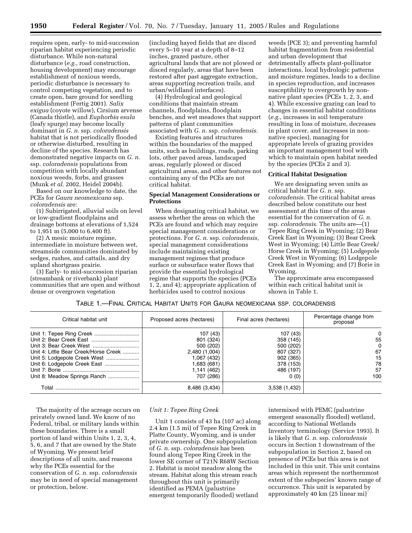requires open, early- to mid-succession riparian habitat experiencing periodic disturbance. While non-natural disturbance (*e.g.,* road construction, housing development) may encourage establishment of noxious weeds, periodic disturbance is necessary to control competing vegetation, and to create open, bare ground for seedling establishment (Fertig 2001). *Salix exigua* (coyote willow), Cirsium arvense (Canada thistle), and *Euphorbia esula* (leafy spurge) may become locally dominant in *G. n.* ssp. *coloradensis* habitat that is not periodically flooded or otherwise disturbed, resulting in decline of the species. Research has demonstrated negative impacts on *G. n.* ssp. *coloradensis* populations from competition with locally abundant noxious weeds, forbs, and grasses (Munk *et al.* 2002, Heidel 2004b).

Based on our knowledge to date, the PCEs for *Gaura neomexicana* ssp. *coloradensis* are:

(1) Subirrigated, alluvial soils on level or low-gradient floodplains and drainage bottoms at elevations of 1,524 to 1,951 m (5,000 to 6,400 ft).

(2) A mesic moisture regime, intermediate in moisture between wet, streamside communities dominated by sedges, rushes, and cattails, and dry upland shortgrass prairie.

(3) Early- to mid-succession riparian (streambank or riverbank) plant communities that are open and without dense or overgrown vegetation

(including hayed fields that are disced every 5–10 year at a depth of 8–12 inches, grazed pasture, other agricultural lands that are not plowed or disced regularly, areas that have been restored after past aggregate extraction, areas supporting recreation trails, and urban/wildland interfaces).

(4) Hydrological and geological conditions that maintain stream channels, floodplains, floodplain benches, and wet meadows that support patterns of plant communities associated with *G. n.* ssp. *coloradensis.*

Existing features and structures within the boundaries of the mapped units, such as buildings, roads, parking lots, other paved areas, landscaped areas, regularly plowed or disced agricultural areas, and other features not containing any of the PCEs are not critical habitat.

#### **Special Management Considerations or Protections**

When designating critical habitat, we assess whether the areas on which the PCEs are found and which may require special management considerations or protections. For *G. n.* ssp. *coloradensis,* special management considerations include maintaining existing management regimes that produce surface or subsurface water flows that provide the essential hydrological regime that supports the species (PCEs 1, 2, and 4); appropriate application of herbicides used to control noxious

weeds (PCE 3); and preventing harmful habitat fragmentation from residential and urban development that detrimentally affects plant-pollinator interactions, local hydrologic patterns and moisture regimes, leads to a decline in species reproduction, and increases susceptibility to overgrowth by nonnative plant species (PCEs 1, 2, 3, and 4). While excessive grazing can lead to changes in essential habitat conditions (*e.g.,* increases in soil temperature resulting in loss of moisture, decreases in plant cover, and increases in nonnative species), managing for appropriate levels of grazing provides an important management tool with which to maintain open habitat needed by the species (PCEs 2 and 3).

#### **Critical Habitat Designation**

We are designating seven units as critical habitat for *G. n.* ssp. *coloradensis.* The critical habitat areas described below constitute our best assessment at this time of the areas essential for the conservation of *G. n.* ssp. *coloradensis.* The units are—(1) Tepee Ring Creek in Wyoming; (2) Bear Creek East in Wyoming; (3) Bear Creek West in Wyoming; (4) Little Bear Creek/ Horse Creek in Wyoming; (5) Lodgepole Creek West in Wyoming; (6) Lodgepole Creek East in Wyoming; and (7) Borie in Wyoming.

The approximate area encompassed within each critical habitat unit is shown in Table 1.

#### TABLE 1.—FINAL CRITICAL HABITAT UNITS FOR GAURA NEOMEXICANA SSP. COLORADENSIS

| Critical habitat unit                                                                                 | Proposed acres (hectares)                                                         | Final acres (hectares)                                                    | Percentage change from<br>proposal |  |  |
|-------------------------------------------------------------------------------------------------------|-----------------------------------------------------------------------------------|---------------------------------------------------------------------------|------------------------------------|--|--|
| Unit 4: Little Bear Creek/Horse Creek<br>Unit 5: Lodgepole Creek West<br>Unit 6: Lodgepole Creek East | 107 (43)<br>801 (324)<br>500 (202)<br>2,480 (1,004)<br>1,067 (432)<br>1,683 (681) | 107 (43)<br>358 (145)<br>500 (202)<br>807 (327)<br>902 (365)<br>378 (153) | 0<br>55<br>0<br>67<br>15<br>78     |  |  |
| Unit 8: Meadow Springs Ranch                                                                          | 1,141 (462)<br>707 (286)<br>8,486 (3,434)                                         | 486 (197)<br>0(0)<br>3,538 (1,432)                                        | 57<br>100                          |  |  |

The majority of the acreage occurs on privately owned land. We know of no Federal, tribal, or military lands within these boundaries. There is a small portion of land within Units 1, 2, 3, 4, 5, 6, and 7 that are owned by the State of Wyoming. We present brief descriptions of all units, and reasons why the PCEs essential for the conservation of *G. n.* ssp. *coloradensis* may be in need of special management or protection, below.

#### *Unit 1: Tepee Ring Creek*

Unit 1 consists of 43 ha (107 ac) along 2.4 km (1.5 mi) of Tepee Ring Creek in Platte County, Wyoming, and is under private ownership. One subpopulation of *G. n.* ssp. *coloradensis* has been found along Tepee Ring Creek in the lower SE corner of T21N R68W Section 2. Habitat is moist meadow along the stream. Habitat along this stream reach throughout this unit is primarily identified as PEMA (palustrine emergent temporarily flooded) wetland

intermixed with PEMC (palustrine emergent seasonally flooded) wetland, according to National Wetlands Inventory terminology (Service 1993). It is likely that *G. n.* ssp. *coloradensis* occurs in Section 1 downstream of the subpopulation in Section 2, based on presence of PCEs but this area is not included in this unit. This unit contains areas which represent the northernmost extent of the subspecies' known range of occurrence. This unit is separated by approximately 40 km (25 linear mi)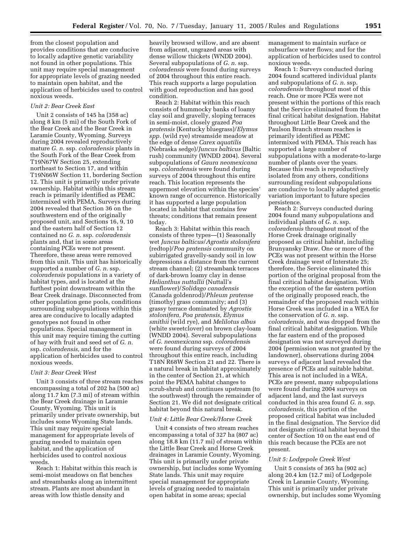from the closest population and provides conditions that are conducive to locally adaptive genetic variability not found in other populations. This unit may require special management for appropriate levels of grazing needed to maintain open habitat, and the application of herbicides used to control noxious weeds.

#### *Unit 2: Bear Creek East*

Unit 2 consists of 145 ha (358 ac) along 8 km (5 mi) of the South Fork of the Bear Creek and the Bear Creek in Laramie County, Wyoming. Surveys during 2004 revealed reproductively mature *G. n.* ssp. *coloradensis* plants in the South Fork of the Bear Creek from T19N67W Section 25, extending northeast to Section 17, and within T19N66W Section 11, bordering Section 12. This unit is primarily under private ownership. Habitat within this stream reach is primarily identified as PEMC intermixed with PEMA. Surveys during 2004 revealed that Section 36 on the southwestern end of the originally proposed unit, and Sections 16, 9, 10 and the eastern half of Section 12 contained no *G. n.* ssp. *coloradensis* plants and, that in some areas containing PCEs were not present. Therefore, these areas were removed from this unit. This unit has historically supported a number of *G. n.* ssp. *coloradensis* populations in a variety of habitat types, and is located at the furthest point downstream within the Bear Creek drainage. Disconnected from other population gene pools, conditions surrounding subpopulations within this area are conducive to locally adapted genotypes not found in other populations. Special management in this unit may require timing the cutting of hay with fruit and seed set of *G. n.* ssp. *coloradensis,* and for the application of herbicides used to control noxious weeds.

#### *Unit 3: Bear Creek West*

Unit 3 consists of three stream reaches encompassing a total of 202 ha (500 ac) along 11.7 km (7.3 mi) of stream within the Bear Creek drainage in Laramie County, Wyoming. This unit is primarily under private ownership, but includes some Wyoming State lands. This unit may require special management for appropriate levels of grazing needed to maintain open habitat, and the application of herbicides used to control noxious weeds.

Reach 1: Habitat within this reach is semi-moist meadows on flat benches and streambanks along an intermittent stream. Plants are most abundant in areas with low thistle density and

heavily browsed willow, and are absent from adjacent, ungrazed areas with dense willow thickets (WNDD 2004). Several subpopulations of *G. n.* ssp. *coloradensis* were found during surveys of 2004 throughout this entire reach. This reach supports a large population with good reproduction and has good condition.

Reach 2: Habitat within this reach consists of hummocky banks of loamy clay soil and gravelly, sloping terraces in semi-moist, closely grazed *Poa pratensis* (Kentucky bluegrass)/*Elymus spp.* (wild rye) streamside meadow at the edge of dense *Carex aquatilis* (Nebraska sedge)/*Juncus balticus* (Baltic rush) community (WNDD 2004). Several subpopulations of *Gaura neomexicana* ssp. *coloradensis* were found during surveys of 2004 throughout this entire reach. This location represents the uppermost elevation within the species' known range of occurrence. Historically it has supported a large population located in habitat that contains few threats; conditions that remain present today.

Reach 3: Habitat within this reach consists of three types—(1) Seasonally wet *Juncus balticus*/*Agrostis stolonifera* (redtop)/*Poa pratensis* community on subirrigated gravelly-sandy soil in low depressions a distance from the current stream channel; (2) streambank terraces of dark-brown loamy clay in dense *Helianthus nuttallii* (Nuttall's sunflower)/*Solidago canadensis* (Canada goldenrod)/*Phleum pratense* (timothy) grass community; and (3) grassy terrace dominated by *Agrostis stolonifera, Poa pratensis, Elymus smithii* (wild rye), and *Melilotus albus* (white sweetclover) on brown clay-loam (WNDD 2004). Several subpopulations of *G. neomexicana* ssp. *coloradensi*s were found during surveys of 2004 throughout this entire reach, including T18N R68W Section 21 and 22. There is a natural break in habitat approximately in the center of Section 21, at which point the PEMA habitat changes to scrub-shrub and continues upstream (to the southwest) through the remainder of Section 21. We did not designate critical habitat beyond this natural break.

#### *Unit 4: Little Bear Creek/Horse Creek*

Unit 4 consists of two stream reaches encompassing a total of 327 ha (807 ac) along 18.8 km (11.7 mi) of stream within the Little Bear Creek and Horse Creek drainages in Laramie County, Wyoming. This unit is primarily under private ownership, but includes some Wyoming State lands. This unit may require special management for appropriate levels of grazing needed to maintain open habitat in some areas; special

management to maintain surface or subsurface water flows; and for the application of herbicides used to control noxious weeds.

Reach 1: Surveys conducted during 2004 found scattered individual plants and subpopulations of *G. n.* ssp. *coloradensis* throughout most of this reach. One or more PCEs were not present within the portions of this reach that the Service eliminated from the final critical habitat designation. Habitat throughout Little Bear Creek and the Paulson Branch stream reaches is primarily identified as PEMC intermixed with PEMA. This reach has supported a large number of subpopulations with a moderate-to-large number of plants over the years. Because this reach is reproductively isolated from any others, conditions surrounding resident subpopulations are conducive to locally adapted genetic variation important to future species persistence.

Reach 2: Surveys conducted during 2004 found many subpopulations and individual plants of *G. n.* ssp. *coloradensis* throughout most of the Horse Creek drainage originally proposed as critical habitat, including Brunyansky Draw. One or more of the PCEs was not present within the Horse Creek drainage west of Interstate 25; therefore, the Service eliminated this portion of the original proposal from the final critical habitat designation. With the exception of the far eastern portion of the originally proposed reach, the remainder of the proposed reach within Horse Creek was included in a WEA for the conservation of *G. n.* ssp. *coloradensis,* and was dropped from the final critical habitat designation. While the far eastern end of the proposed designation was not surveyed during 2004 (permission was not granted by the landowner), observations during 2004 surveys of adjacent land revealed the presence of PCEs and suitable habitat. This area is not included in a WEA, PCEs are present, many subpopulations were found during 2004 surveys on adjacent land, and the last surveys conducted in this area found *G. n.* ssp. *coloradensis,* this portion of the proposed critical habitat was included in the final designation. The Service did not designate critical habitat beyond the center of Section 10 on the east end of this reach because the PCEs are not present.

#### *Unit 5: Lodgepole Creek West*

Unit 5 consists of 365 ha (902 ac) along 20.4 km (12.7 mi) of Lodgepole Creek in Laramie County, Wyoming. This unit is primarily under private ownership, but includes some Wyoming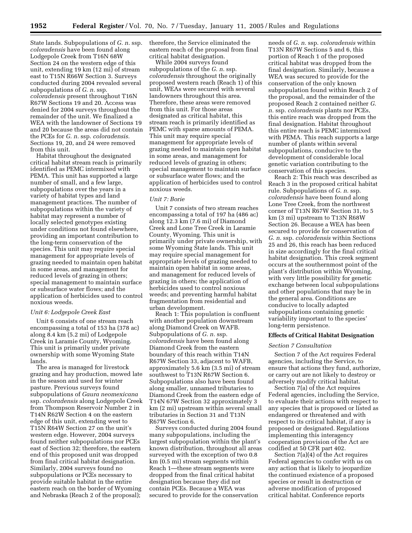State lands. Subpopulations of *G. n.* ssp. *coloradensis* have been found along Lodgepole Creek from T16N 68W Section 24 on the western edge of this unit, extending 19 km (12 mi) of stream east to T15N R66W Section 3. Surveys conducted during 2004 revealed several subpopulations of *G. n.* ssp. *coloradensis* present throughout T16N R67W Sections 19 and 20. Access was denied for 2004 surveys throughout the remainder of the unit. We finalized a WEA with the landowner of Sections 19 and 20 because the areas did not contain the PCEs for *G. n.* ssp. *coloradensis.* Sections 19, 20, and 24 were removed from this unit.

Habitat throughout the designated critical habitat stream reach is primarily identified as PEMC intermixed with PEMA. This unit has supported a large number of small, and a few large, subpopulations over the years in a variety of habitat types and land management practices. The number of subpopulations within the variety of habitat may represent a number of locally selected genotypes existing under conditions not found elsewhere, providing an important contribution to the long-term conservation of the species. This unit may require special management for appropriate levels of grazing needed to maintain open habitat in some areas, and management for reduced levels of grazing in others; special management to maintain surface or subsurface water flows; and the application of herbicides used to control noxious weeds.

#### *Unit 6: Lodgepole Creek East*

Unit 6 consists of one stream reach encompassing a total of 153 ha (378 ac) along 8.4 km (5.2 mi) of Lodgepole Creek in Laramie County, Wyoming. This unit is primarily under private ownership with some Wyoming State lands.

The area is managed for livestock grazing and hay production, mowed late in the season and used for winter pasture. Previous surveys found subpopulations of *Gaura neomexicana* ssp. *coloradensis* along Lodgepole Creek from Thompson Reservoir Number 2 in T14N R62W Section 4 on the eastern edge of this unit, extending west to T15N R64W Section 27 on the unit's western edge. However, 2004 surveys found neither subpopulations nor PCEs east of Section 32; therefore, the eastern end of this proposed unit was dropped from final critical habitat designation. Similarly, 2004 surveys found no subpopulations or PCEs necessary to provide suitable habitat in the entire eastern reach on the border of Wyoming and Nebraska (Reach 2 of the proposal);

therefore, the Service eliminated the eastern reach of the proposal from final critical habitat designation.

While 2004 surveys found subpopulations of the *G. n.* ssp. *coloradensis* throughout the originally proposed western reach (Reach 1) of this unit, WEAs were secured with several landowners throughout this area. Therefore, these areas were removed from this unit. For those areas designated as critical habitat, this stream reach is primarily identified as PEMC with sparse amounts of PEMA. This unit may require special management for appropriate levels of grazing needed to maintain open habitat in some areas, and management for reduced levels of grazing in others; special management to maintain surface or subsurface water flows; and the application of herbicides used to control noxious weeds.

#### *Unit 7: Borie*

Unit 7 consists of two stream reaches encompassing a total of 197 ha (486 ac) along 12.3 km (7.6 mi) of Diamond Creek and Lone Tree Creek in Laramie County, Wyoming. This unit is primarily under private ownership, with some Wyoming State lands. This unit may require special management for appropriate levels of grazing needed to maintain open habitat in some areas, and management for reduced levels of grazing in others; the application of herbicides used to control noxious weeds; and preventing harmful habitat fragmentation from residential and urban development.

Reach 1: This population is confluent with another population downstream along Diamond Creek on WAFB. Subpopulations of *G. n.* ssp. *coloradensis* have been found along Diamond Creek from the eastern boundary of this reach within T14N R67W Section 33, adjacent to WAFB, approximately 5.6 km (3.5 mi) of stream southwest to T13N R67W Section 6. Subpopulations also have been found along smaller, unnamed tributaries to Diamond Creek from the eastern edge of T14N 67W Section 32 approximately 3 km (2 mi) upstream within several small tributaries in Section 31 and T13N R67W Section 6.

Surveys conducted during 2004 found many subpopulations, including the largest subpopulation within the plant's known distribution, throughout all areas surveyed with the exception of two 0.8 km (0.5 mi) stream segments within Reach 1—these stream segments were dropped from the final critical habitat designation because they did not contain PCEs. Because a WEA was secured to provide for the conservation

needs of *G. n.* ssp. *coloradensis* within T13N R67W Sections 5 and 6, this portion of Reach 1 of the proposed critical habitat was dropped from the final designation. Similarly, because a WEA was secured to provide for the conservation of the only known subpopulation found within Reach 2 of the proposal, and the remainder of the proposed Reach 2 contained neither *G. n.* ssp. *coloradensis* plants nor PCEs, this entire reach was dropped from the final designation. Habitat throughout this entire reach is PEMC intermixed with PEMA. This reach supports a large number of plants within several subpopulations, conducive to the development of considerable local genetic variation contributing to the conservation of this species.

Reach 2: This reach was described as Reach 3 in the proposed critical habitat rule. Subpopulations of *G. n.* ssp. *coloradensis* have been found along Lone Tree Creek, from the northwest corner of T13N R67W Section 31, to 5 km (3 mi) upstream to T13N R68W Section 26. Because a WEA has been secured to provide for conservation of *G. n.* ssp. *coloradensis* within Sections 25 and 26, this reach has been reduced in size accordingly for the final critical habitat designation. This creek segment occurs at the southernmost point of the plant's distribution within Wyoming, with very little possibility for genetic exchange between local subpopulations and other populations that may be in the general area. Conditions are conducive to locally adapted subpopulations containing genetic variability important to the species' long-term persistence.

#### **Effects of Critical Habitat Designation**

#### *Section 7 Consultation*

Section 7 of the Act requires Federal agencies, including the Service, to ensure that actions they fund, authorize, or carry out are not likely to destroy or adversely modify critical habitat.

Section 7(a) of the Act requires Federal agencies, including the Service, to evaluate their actions with respect to any species that is proposed or listed as endangered or threatened and with respect to its critical habitat, if any is proposed or designated. Regulations implementing this interagency cooperation provision of the Act are codified at 50 CFR part 402.

Section 7(a)(4) of the Act requires Federal agencies to confer with us on any action that is likely to jeopardize the continued existence of a proposed species or result in destruction or adverse modification of proposed critical habitat. Conference reports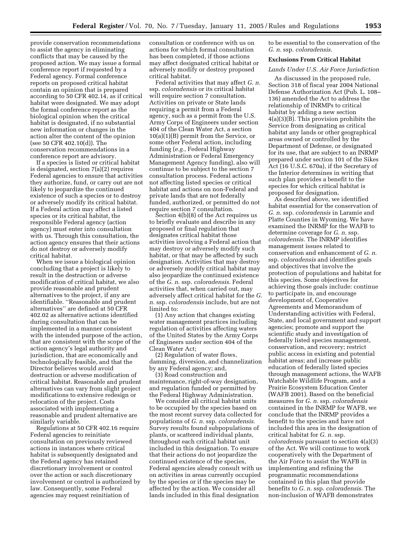provide conservation recommendations to assist the agency in eliminating conflicts that may be caused by the proposed action. We may issue a formal conference report if requested by a Federal agency. Formal conference reports on proposed critical habitat contain an opinion that is prepared according to 50 CFR 402.14, as if critical habitat were designated. We may adopt the formal conference report as the biological opinion when the critical habitat is designated, if no substantial new information or changes in the action alter the content of the opinion (see 50 CFR 402.10(d)). The conservation recommendations in a conference report are advisory.

If a species is listed or critical habitat is designated, section 7(a)(2) requires Federal agencies to ensure that activities they authorize, fund, or carry out are not likely to jeopardize the continued existence of such a species or to destroy or adversely modify its critical habitat. If a Federal action may affect a listed species or its critical habitat, the responsible Federal agency (action agency) must enter into consultation with us. Through this consultation, the action agency ensures that their actions do not destroy or adversely modify critical habitat.

When we issue a biological opinion concluding that a project is likely to result in the destruction or adverse modification of critical habitat, we also provide reasonable and prudent alternatives to the project, if any are identifiable. ''Reasonable and prudent alternatives'' are defined at 50 CFR 402.02 as alternative actions identified during consultation that can be implemented in a manner consistent with the intended purpose of the action, that are consistent with the scope of the action agency's legal authority and jurisdiction, that are economically and technologically feasible, and that the Director believes would avoid destruction or adverse modification of critical habitat. Reasonable and prudent alternatives can vary from slight project modifications to extensive redesign or relocation of the project. Costs associated with implementing a reasonable and prudent alternative are similarly variable.

Regulations at 50 CFR 402.16 require Federal agencies to reinitiate consultation on previously reviewed actions in instances where critical habitat is subsequently designated and the Federal agency has retained discretionary involvement or control over the action or such discretionary involvement or control is authorized by law. Consequently, some Federal agencies may request reinitiation of

consultation or conference with us on actions for which formal consultation has been completed, if those actions may affect designated critical habitat or adversely modify or destroy proposed critical habitat.

Federal activities that may affect *G. n.* ssp. *coloradensis* or its critical habitat will require section 7 consultation. Activities on private or State lands requiring a permit from a Federal agency, such as a permit from the U.S. Army Corps of Engineers under section 404 of the Clean Water Act, a section 10(a)(1)(B) permit from the Service, or some other Federal action, including funding (*e.g.*, Federal Highway Administration or Federal Emergency Management Agency funding), also will continue to be subject to the section 7 consultation process. Federal actions not affecting listed species or critical habitat and actions on non-Federal and private lands that are not federally funded, authorized, or permitted do not require section 7 consultation.

Section 4(b)(8) of the Act requires us to briefly evaluate and describe in any proposed or final regulation that designates critical habitat those activities involving a Federal action that may destroy or adversely modify such habitat, or that may be affected by such designation. Activities that may destroy or adversely modify critical habitat may also jeopardize the continued existence of the *G. n.* ssp. *coloradensis.* Federal activities that, when carried out, may adversely affect critical habitat for the *G. n.* ssp. *coloradensis* include, but are not limited to:

(1) Any action that changes existing water management practices including regulation of activities affecting waters of the United States by the Army Corps of Engineers under section 404 of the Clean Water Act;

(2) Regulation of water flows, damming, diversion, and channelization by any Federal agency; and,

(3) Road construction and maintenance, right-of-way designation, and regulation funded or permitted by the Federal Highway Administration.

We consider all critical habitat units to be occupied by the species based on the most recent survey data collected for populations of *G. n.* ssp. *coloradensis.* Survey results found subpopulations of plants, or scattered individual plants, throughout each critical habitat unit included in this designation. To ensure that their actions do not jeopardize the continued existence of the species, Federal agencies already consult with us on activities in areas currently occupied by the species or if the species may be affected by the action. We consider all lands included in this final designation

to be essential to the conservation of the *G. n.* ssp. *coloradensis.*

#### **Exclusions From Critical Habitat**

#### *Lands Under U.S. Air Force Jurisdiction*

As discussed in the proposed rule, Section 318 of fiscal year 2004 National Defense Authorization Act (Pub. L. 108– 136) amended the Act to address the relationship of INRMPs to critical habitat by adding a new section 4(a)(3)(B). This provision prohibits the Service from designating as critical habitat any lands or other geographical areas owned or controlled by the Department of Defense, or designated for its use, that are subject to an INRMP prepared under section 101 of the Sikes Act (16 U.S.C. 670a), if the Secretary of the Interior determines in writing that such plan provides a benefit to the species for which critical habitat is proposed for designation.

As described above, we identified habitat essential for the conservation of *G. n.* ssp. *coloradensis* in Laramie and Platte Counties in Wyoming. We have examined the INRMP for the WAFB to determine coverage for *G. n.* ssp. *coloradensis.* The INRMP identifies management issues related to conservation and enhancement of *G. n.* ssp. *coloradensis* and identifies goals and objectives that involve the protection of populations and habitat for this species. Some objectives for achieving those goals include: continue to participate in, and encourage development of, Cooperative Agreements and Memorandum of Understanding activities with Federal, State, and local government and support agencies; promote and support the scientific study and investigation of federally listed species management, conservation, and recovery; restrict public access in existing and potential habitat areas; and increase public education of federally listed species through management actions, the WAFB Watchable Wildlife Program, and a Prairie Ecosystem Education Center (WAFB 2001). Based on the beneficial measures for *G. n.* ssp. *coloradensis* contained in the INRMP for WAFB, we conclude that the INRMP provides a benefit to the species and have not included this area in the designation of critical habitat for *G. n.* ssp. *coloradensis* pursuant to section 4(a)(3) of the Act. We will continue to work cooperatively with the Department of the Air Force to assist the WAFB in implementing and refining the programmatic recommendations contained in this plan that provide benefits to *G. n.* ssp. *coloradensis.* The non-inclusion of WAFB demonstrates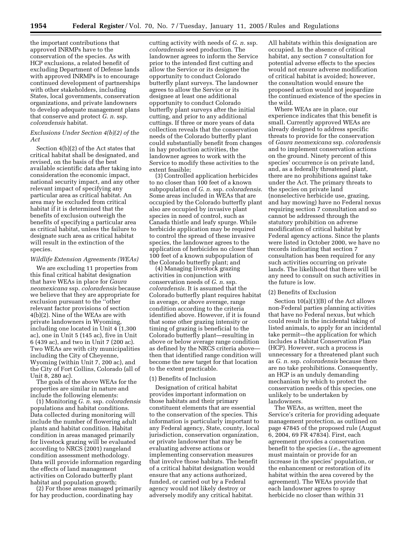the important contributions that approved INRMPs have to the conservation of the species. As with HCP exclusions, a related benefit of excluding Department of Defense lands with approved INRMPs is to encourage continued development of partnerships with other stakeholders, including States, local governments, conservation organizations, and private landowners to develop adequate management plans that conserve and protect *G. n.* ssp. *coloradensis* habitat.

#### *Exclusions Under Section 4(b)(2) of the Act*

Section 4(b)(2) of the Act states that critical habitat shall be designated, and revised, on the basis of the best available scientific data after taking into consideration the economic impact, national security impact, and any other relevant impact of specifying any particular area as critical habitat. An area may be excluded from critical habitat if it is determined that the benefits of exclusion outweigh the benefits of specifying a particular area as critical habitat, unless the failure to designate such area as critical habitat will result in the extinction of the species.

#### *Wildlife Extension Agreements (WEAs)*

We are excluding 11 properties from this final critical habitat designation that have WEAs in place for *Gaura neomexicana* ssp. *coloradensis* because we believe that they are appropriate for exclusion pursuant to the ''other relevant factor provisions of section 4(b)(2). Nine of the WEAs are with private landowners in Wyoming, including one located in Unit 4 (1,300 ac), one in Unit 5 (145 ac), five in Unit 6 (439 ac), and two in Unit 7 (200 ac). Two WEAs are with city municipalities including the City of Cheyenne, Wyoming (within Unit 7, 200 ac), and the City of Fort Collins, Colorado (all of Unit 8, 280 ac).

The goals of the above WEAs for the properties are similar in nature and include the following elements:

(1) Monitoring *G. n.* ssp. *coloradensis* populations and habitat conditions. Data collected during monitoring will include the number of flowering adult plants and habitat condition. Habitat condition in areas managed primarily for livestock grazing will be evaluated according to NRCS (2001) rangeland condition assessment methodology. Data will provide information regarding the effects of land management activities on Colorado butterfly plant habitat and population growth;

(2) For those areas managed primarily for hay production, coordinating hay

cutting activity with needs of *G. n.* ssp. *coloradensis* seed production. The landowner agrees to inform the Service prior to the intended first cutting and allow the Service or its designee the opportunity to conduct Colorado butterfly plant surveys. The landowner agrees to allow the Service or its designee at least one additional opportunity to conduct Colorado butterfly plant surveys after the initial cutting, and prior to any additional cuttings. If three or more years of data collection reveals that the conservation needs of the Colorado butterfly plant could substantially benefit from changes in hay production activities, the landowner agrees to work with the Service to modify these activities to the extent feasible;

(3) Controlled application herbicides to no closer than 100 feet of a known subpopulation of *G. n.* ssp. *coloradensis.* Some areas included in WEAs that are occupied by the Colorado butterfly plant also are occupied by invasive plant species in need of control, such as Canada thistle and leafy spurge. While herbicide application may be required to control the spread of these invasive species, the landowner agrees to the application of herbicides no closer than 100 feet of a known subpopulation of the Colorado butterfly plant; and

(4) Managing livestock grazing activities in conjunction with conservation needs of *G. n.* ssp. *coloradensis.* It is assumed that the Colorado butterfly plant requires habitat in average, or above average, range condition according to the criteria identified above. However, if it is found that some other grazing intensity or timing of grazing is beneficial to the Colorado butterfly plant—resulting in above or below average range condition as defined by the NRCS criteria above then that identified range condition will become the new target for that location to the extent practicable.

#### (1) Benefits of Inclusion

Designation of critical habitat provides important information on those habitats and their primary constituent elements that are essential to the conservation of the species. This information is particularly important to any Federal agency, State, county, local jurisdiction, conservation organization, or private landowner that may be evaluating adverse actions or implementing conservation measures that involve those habitats. The benefit of a critical habitat designation would ensure that any actions authorized, funded, or carried out by a Federal agency would not likely destroy or adversely modify any critical habitat.

All habitats within this designation are occupied. In the absence of critical habitat, any section 7 consultation for potential adverse effects to the species would not ensure adverse modification of critical habitat is avoided; however, the consultation would ensure the proposed action would not jeopardize the continued existence of the species in the wild.

Where WEAs are in place, our experience indicates that this benefit is small. Currently approved WEAs are already designed to address specific threats to provide for the conservation of *Gaura neomexicana* ssp. *coloradensis* and to implement conservation actions on the ground. Ninety percent of this species' occurrence is on private land, and, as a federally threatened plant, there are no prohibitions against take under the Act. The primary threats to the species on private land (nonselective herbicide use, grazing, and hay mowing) have no Federal nexus requiring section 7 consultation and so cannot be addressed through the statutory prohibition on adverse modification of critical habitat by Federal agency actions. Since the plants were listed in October 2000, we have no records indicating that section 7 consultation has been required for any such activities occurring on private lands. The likelihood that there will be any need to consult on such activities in the future is low.

#### (2) Benefits of Exclusion

Section 10(a)(1)(B) of the Act allows non-Federal parties planning activities that have no Federal nexus, but which could result in the incidental taking of listed animals, to apply for an incidental take permit—the application for which includes a Habitat Conservation Plan (HCP). However, such a process is unnecessary for a threatened plant such as *G. n.* ssp. *coloradensis* because there are no take prohibitions. Consequently, an HCP is an unduly demanding mechanism by which to protect the conservation needs of this species, one unlikely to be undertaken by landowners.

The WEAs, as written, meet the Service's criteria for providing adequate management protection, as outlined on page 47845 of the proposed rule (August 6, 2004, 69 FR 47834). First, each agreement provides a conservation benefit to the species (*i.e.*, the agreement must maintain or provide for an increase in the species' population, or the enhancement or restoration of its habitat within the area covered by the agreement). The WEAs provide that each landowner agrees to spray herbicide no closer than within 31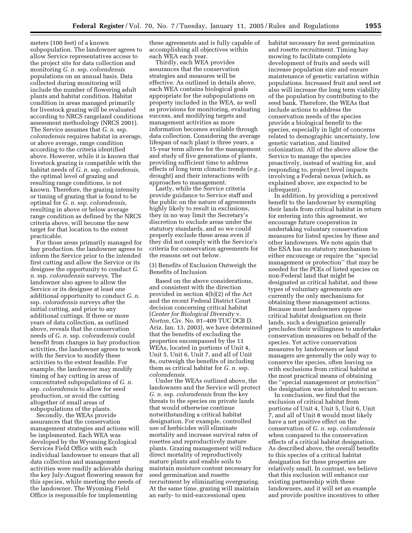meters (100 feet) of a known subpopulation. The landowner agrees to allow Service representatives access to the project site for data collection and monitoring *G. n.* ssp. *coloradensis* populations on an annual basis. Data collected during monitoring will include the number of flowering adult plants and habitat condition. Habitat condition in areas managed primarily for livestock grazing will be evaluated according to NRCS rangeland conditions assessment methodology (NRCS 2001). The Service assumes that *G. n.* ssp. *coloradensis* requires habitat in average, or above average, range condition according to the criteria identified above. However, while it is known that livestock grazing is compatible with the habitat needs of *G. n.* ssp. *coloradensis,* the optimal level of grazing and resulting range conditions, is not known. Therefore, the grazing intensity or timing of grazing that is found to be optimal for *G. n.* ssp. *coloradensis,* resulting in above or below average range condition as defined by the NRCS criteria above, will become the new target for that location to the extent practicable.

For those areas primarily managed for hay production, the landowner agrees to inform the Service prior to the intended first cutting and allow the Service or its designee the opportunity to conduct *G. n.* ssp. *coloradensis* surveys. The landowner also agrees to allow the Service or its designee at least one additional opportunity to conduct *G. n.* ssp. *coloradensis* surveys after the initial cutting, and prior to any additional cuttings. If three or more years of data collection, as outlined above, reveals that the conservation needs of *G. n.* ssp. *coloradensis* could benefit from changes in hay production activities, the landowner agrees to work with the Service to modify these activities to the extent feasible. For example, the landowner may modify timing of hay cutting in areas of concentrated subpopulations of *G. n.* ssp. *coloradensis* to allow for seed production, or avoid the cutting altogether of small areas of subpopulations of the plants.

Secondly, the WEAs provide assurances that the conservation management strategies and actions will be implemented. Each WEA was developed by the Wyoming Ecological Services Field Office with each individual landowner to ensure that all data collection and management activities were readily achievable during the key July-August flowering season for this species, while meeting the needs of the landowner. The Wyoming Field Office is responsible for implementing

these agreements and is fully capable of accomplishing all objectives within each WEA each year.

Thirdly, each WEA provides assurances that the conservation strategies and measures will be effective. As outlined in details above, each WEA contains biological goals appropriate for the subpopulations on property included in the WEA, as well as provisions for monitoring, evaluating success, and modifying targets and management activities as more information becomes available through data collection. Considering the average lifespan of each plant is three years, a 15-year term allows for the management and study of five generations of plants, providing sufficient time to address effects of long term climatic trends (*e.g.*, drought) and their interactions with approaches to management.

Lastly, while the Service criteria provide guidance to Service staff and the public on the nature of agreements highly likely to result in exclusions, they in no way limit the Secretary's discretion to exclude areas under the statutory standards, and so we could properly exclude these areas even if they did not comply with the Service's criteria for conservation agreements for the reasons set out below.

(3) Benefits of Exclusion Outweigh the Benefits of Inclusion

Based on the above considerations, and consistent with the direction provided in section 4(b)(2) of the Act and the recent Federal District Court decision concerning critical habitat (*Center for Biological Diversity* v. *Norton,* Civ. No. 01–409 TUC DCB D. Ariz. Jan. 13, 2003), we have determined that the benefits of excluding the properties encompassed by the 11 WEAs, located in portions of Unit 4, Unit 5, Unit 6, Unit 7, and all of Unit 8s, outweigh the benefits of including them as critical habitat for *G. n.* ssp. *coloradensis.*

Under the WEAs outlined above, the landowners and the Service will protect *G. n.* ssp. *coloradensis* from the key threats to the species on private lands that would otherwise continue notwithstanding a critical habitat designation. For example, controlled use of herbicides will eliminate mortality and increase survival rates of rosettes and reproductively mature plants. Grazing management will reduce direct mortality of reproductively mature plants and enable soils to maintain moisture content necessary for seed germination and rosette recruitment by eliminating overgrazing. At the same time, grazing will maintain an early- to mid-successional open

habitat necessary for seed germination and rosette recruitment. Timing hay mowing to facilitate complete development of fruits and seeds will increase population size and ensure maintenance of genetic variation within populations. Increased fruit and seed set also will increase the long term viability of the population by contributing to the seed bank. Therefore, the WEAs that include actions to address the conservation needs of the species provide a biological benefit to the species, especially in light of concerns related to demographic uncertainty, low genetic variation, and limited colonization. All of the above allow the Service to manage the species proactively, instead of waiting for, and responding to, project level impacts involving a Federal nexus (which, as explained above, are expected to be infrequent).

In addition, by providing a perceived benefit to the landowner by exempting their lands from critical habitat in return for entering into this agreement, we encourage future cooperation in undertaking voluntary conservation measures for listed species by these and other landowners. We note again that the ESA has no statutory mechanism to either encourage or require the ''special management or protection'' that may be needed for the PCEs of listed species on non-Federal land that might be designated as critical habitat, and these types of voluntary agreements are currently the only mechanisms for obtaining these management actions. Because most landowners oppose critical habitat designation on their lands, such a designation generally precludes their willingness to undertake conservation measures on behalf of the species. Yet active conservation measures by landowners or land managers are generally the only way to conserve the species, often leaving us with exclusions from critical habitat as the most practical means of obtaining the ''special management or protection'' the designation was intended to secure.

In conclusion, we find that the exclusion of critical habitat from portions of Unit 4, Unit 5, Unit 6, Unit 7, and all of Unit 8 would most likely have a net positive effect on the conservation of *G. n.* ssp. *coloradensis* when compared to the conservation effects of a critical habitat designation. As described above, the overall benefits to this species of a critical habitat designation for these properties are relatively small. In contrast, we believe that this exclusion will enhance our existing partnership with these landowners, and it will set an example and provide positive incentives to other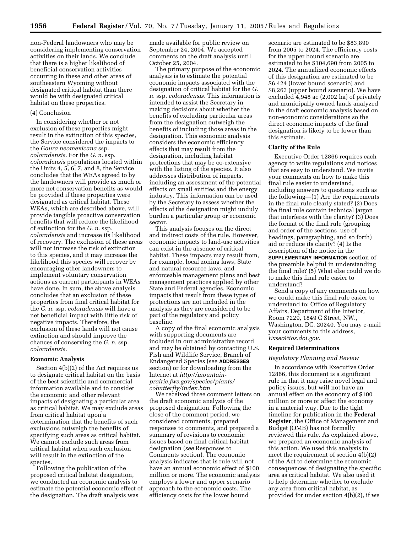non-Federal landowners who may be considering implementing conservation activities on their lands. We conclude that there is a higher likelihood of beneficial conservation activities occurring in these and other areas of southeastern Wyoming without designated critical habitat than there would be with designated critical habitat on these properties.

#### (4) Conclusion

In considering whether or not exclusion of these properties might result in the extinction of this species, the Service considered the impacts to the *Gaura neomexicana* ssp. *coloradensis.* For the *G. n.* ssp. *coloradensis* populations located within the Units 4, 5, 6, 7, and 8, the Service concludes that the WEAs agreed to by the landowners will provide as much or more net conservation benefits as would be provided if these properties were designated as critical habitat. These WEAs, which are described above, will provide tangible proactive conservation benefits that will reduce the likelihood of extinction for the *G. n.* ssp. *coloradensis* and increase its likelihood of recovery. The exclusion of these areas will not increase the risk of extinction to this species, and it may increase the likelihood this species will recover by encouraging other landowners to implement voluntary conservation actions as current participants in WEAs have done. In sum, the above analysis concludes that an exclusion of these properties from final critical habitat for the *G. n.* ssp. *coloradensis* will have a net beneficial impact with little risk of negative impacts. Therefore, the exclusion of these lands will not cause extinction and should improve the chances of conserving the *G. n.* ssp. *coloradensis.*

#### **Economic Analysis**

Section 4(b)(2) of the Act requires us to designate critical habitat on the basis of the best scientific and commercial information available and to consider the economic and other relevant impacts of designating a particular area as critical habitat. We may exclude areas from critical habitat upon a determination that the benefits of such exclusions outweigh the benefits of specifying such areas as critical habitat. We cannot exclude such areas from critical habitat when such exclusion will result in the extinction of the species.

Following the publication of the proposed critical habitat designation, we conducted an economic analysis to estimate the potential economic effect of the designation. The draft analysis was

made available for public review on September 24, 2004. We accepted comments on the draft analysis until October 25, 2004.

The primary purpose of the economic analysis is to estimate the potential economic impacts associated with the designation of critical habitat for the *G. n.* ssp. *coloradensis.* This information is intended to assist the Secretary in making decisions about whether the benefits of excluding particular areas from the designation outweigh the benefits of including those areas in the designation. This economic analysis considers the economic efficiency effects that may result from the designation, including habitat protections that may be co-extensive with the listing of the species. It also addresses distribution of impacts, including an assessment of the potential effects on small entities and the energy industry. This information can be used by the Secretary to assess whether the effects of the designation might unduly burden a particular group or economic sector.

This analysis focuses on the direct and indirect costs of the rule. However, economic impacts to land-use activities can exist in the absence of critical habitat. These impacts may result from, for example, local zoning laws, State and natural resource laws, and enforceable management plans and best management practices applied by other State and Federal agencies. Economic impacts that result from these types of protections are not included in the analysis as they are considered to be part of the regulatory and policy baseline.

A copy of the final economic analysis with supporting documents are included in our administrative record and may be obtained by contacting U.S. Fish and Wildlife Service, Branch of Endangered Species (see **ADDRESSES** section) or for downloading from the Internet at *http://mountainprairie.fws.gov/species/plants/ cobutterfly/index.htm.*

We received three comment letters on the draft economic analysis of the proposed designation. Following the close of the comment period, we considered comments, prepared responses to comments, and prepared a summary of revisions to economic issues based on final critical habitat designation (*see* Responses to Comments section). The economic analysis indicates that is rule will not have an annual economic effect of \$100 million or more. The economic analysis employs a lower and upper scenario approach to the economic costs. The efficiency costs for the lower bound

scenario are estimated to be \$83,890 from 2005 to 2024. The efficiency costs for the upper bound scenario are estimated to be \$104,690 from 2005 to 2024. The annualized economic effects of this designation are estimated to be \$6,424 (lower bound scenario) and \$8,263 (upper bound scenario). We have excluded 4,948 ac (2,002 ha) of privately and municipally owned lands analyzed in the draft economic analysis based on non-economic considerations so the direct economic impacts of the final designation is likely to be lower than this estimate.

#### **Clarity of the Rule**

Executive Order 12866 requires each agency to write regulations and notices that are easy to understand. We invite your comments on how to make this final rule easier to understand, including answers to questions such as the following—(1) Are the requirements in the final rule clearly stated? (2) Does the final rule contain technical jargon that interferes with the clarity? (3) Does the format of the final rule (grouping and order of the sections, use of headings, paragraphing, and so forth) aid or reduce its clarity? (4) Is the description of the notice in the **SUPPLEMENTARY INFORMATION** section of the preamble helpful in understanding the final rule? (5) What else could we do to make this final rule easier to understand?

Send a copy of any comments on how we could make this final rule easier to understand to: Office of Regulatory Affairs, Department of the Interior, Room 7229, 1849 C Street, NW., Washington, DC. 20240. You may e-mail your comments to this address, *Exsec@ios.doi.gov.*

#### **Required Determinations**

#### *Regulatory Planning and Review*

In accordance with Executive Order 12866, this document is a significant rule in that it may raise novel legal and policy issues, but will not have an annual effect on the economy of \$100 million or more or affect the economy in a material way. Due to the tight timeline for publication in the **Federal Register**, the Office of Management and Budget (OMB) has not formally reviewed this rule. As explained above, we prepared an economic analysis of this action. We used this analysis to meet the requirement of section 4(b)(2) of the Act to determine the economic consequences of designating the specific area as critical habitat. We also used it to help determine whether to exclude any area from critical habitat, as provided for under section 4(b)(2), if we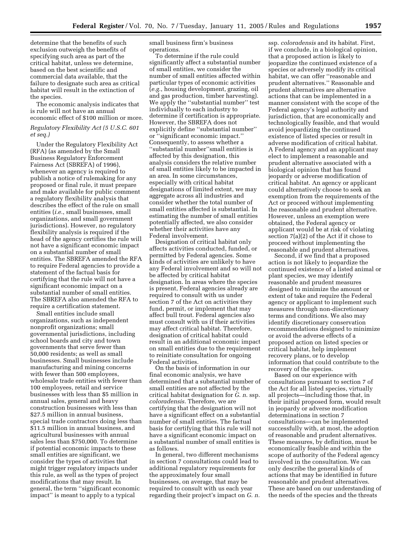determine that the benefits of such exclusion outweigh the benefits of specifying such area as part of the critical habitat, unless we determine, based on the best scientific and commercial data available, that the failure to designate such area as critical habitat will result in the extinction of the species.

The economic analysis indicates that is rule will not have an annual economic effect of \$100 million or more.

#### *Regulatory Flexibility Act (5 U.S.C. 601 et seq.)*

Under the Regulatory Flexibility Act (RFA) (as amended by the Small Business Regulatory Enforcement Fairness Act (SBREFA) of 1996), whenever an agency is required to publish a notice of rulemaking for any proposed or final rule, it must prepare and make available for public comment a regulatory flexibility analysis that describes the effect of the rule on small entities (*i.e.*, small businesses, small organizations, and small government jurisdictions). However, no regulatory flexibility analysis is required if the head of the agency certifies the rule will not have a significant economic impact on a substantial number of small entities. The SBREFA amended the RFA to require Federal agencies to provide a statement of the factual basis for certifying that the rule will not have a significant economic impact on a substantial number of small entities. The SBREFA also amended the RFA to require a certification statement.

Small entities include small organizations, such as independent nonprofit organizations; small governmental jurisdictions, including school boards and city and town governments that serve fewer than 50,000 residents; as well as small businesses. Small businesses include manufacturing and mining concerns with fewer than 500 employees, wholesale trade entities with fewer than 100 employees, retail and service businesses with less than \$5 million in annual sales, general and heavy construction businesses with less than \$27.5 million in annual business, special trade contractors doing less than \$11.5 million in annual business, and agricultural businesses with annual sales less than \$750,000. To determine if potential economic impacts to these small entities are significant, we consider the types of activities that might trigger regulatory impacts under this rule, as well as the types of project modifications that may result. In general, the term ''significant economic impact'' is meant to apply to a typical

small business firm's business operations.

To determine if the rule could significantly affect a substantial number of small entities, we consider the number of small entities affected within particular types of economic activities (*e.g.*, housing development, grazing, oil and gas production, timber harvesting). We apply the ''substantial number'' test individually to each industry to determine if certification is appropriate. However, the SBREFA does not explicitly define ''substantial number'' or ''significant economic impact.'' Consequently, to assess whether a ''substantial number''small entities is affected by this designation, this analysis considers the relative number of small entities likely to be impacted in an area. In some circumstances, especially with critical habitat designations of limited extent, we may aggregate across all industries and consider whether the total number of small entities affected is substantial. In estimating the number of small entities potentially affected, we also consider whether their activities have any Federal involvement.

Designation of critical habitat only affects activities conducted, funded, or permitted by Federal agencies. Some kinds of activities are unlikely to have any Federal involvement and so will not be affected by critical habitat designation. In areas where the species is present, Federal agencies already are required to consult with us under section 7 of the Act on activities they fund, permit, or implement that may affect bull trout. Federal agencies also must consult with us if their activities may affect critical habitat. Therefore, designation of critical habitat could result in an additional economic impact on small entities due to the requirement to reinitiate consultation for ongoing Federal activities.

On the basis of information in our final economic analysis, we have determined that a substantial number of small entities are not affected by the critical habitat designation for *G. n*. ssp. *coloradensis*. Therefore, we are certifying that the designation will not have a significant effect on a substantial number of small entities. The factual basis for certifying that this rule will not have a significant economic impact on a substantial number of small entities is as follows.

In general, two different mechanisms in section 7 consultations could lead to additional regulatory requirements for the approximately four small businesses, on average, that may be required to consult with us each year regarding their project's impact on *G. n.*

ssp. *coloradensis* and its habitat. First, if we conclude, in a biological opinion, that a proposed action is likely to jeopardize the continued existence of a species or adversely modify its critical habitat, we can offer ''reasonable and prudent alternatives.'' Reasonable and prudent alternatives are alternative actions that can be implemented in a manner consistent with the scope of the Federal agency's legal authority and jurisdiction, that are economically and technologically feasible, and that would avoid jeopardizing the continued existence of listed species or result in adverse modification of critical habitat. A Federal agency and an applicant may elect to implement a reasonable and prudent alternative associated with a biological opinion that has found jeopardy or adverse modification of critical habitat. An agency or applicant could alternatively choose to seek an exemption from the requirements of the Act or proceed without implementing the reasonable and prudent alternative. However, unless an exemption were obtained, the Federal agency or applicant would be at risk of violating section 7(a)(2) of the Act if it chose to proceed without implementing the reasonable and prudent alternatives.

Second, if we find that a proposed action is not likely to jeopardize the continued existence of a listed animal or plant species, we may identify reasonable and prudent measures designed to minimize the amount or extent of take and require the Federal agency or applicant to implement such measures through non-discretionary terms and conditions. We also may identify discretionary conservation recommendations designed to minimize or avoid the adverse effects of a proposed action on listed species or critical habitat, help implement recovery plans, or to develop information that could contribute to the recovery of the species.

Based on our experience with consultations pursuant to section 7 of the Act for all listed species, virtually all projects—including those that, in their initial proposed form, would result in jeopardy or adverse modification determinations in section 7 consultations—can be implemented successfully with, at most, the adoption of reasonable and prudent alternatives. These measures, by definition, must be economically feasible and within the scope of authority of the Federal agency involved in the consultation. We can only describe the general kinds of actions that may be identified in future reasonable and prudent alternatives. These are based on our understanding of the needs of the species and the threats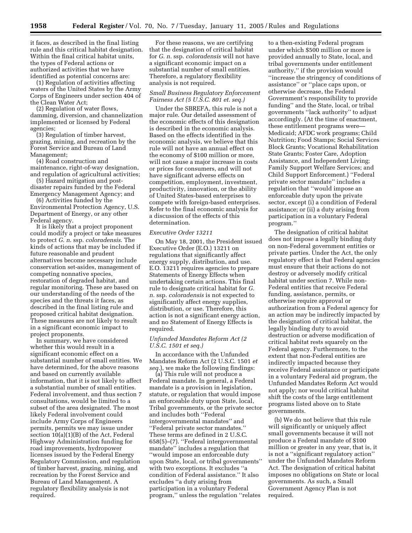it faces, as described in the final listing rule and this critical habitat designation. Within the final critical habitat units, the types of Federal actions or authorized activities that we have identified as potential concerns are:

(1) Regulation of activities affecting waters of the United States by the Army Corps of Engineers under section 404 of the Clean Water Act;

(2) Regulation of water flows, damming, diversion, and channelization implemented or licensed by Federal agencies;

(3) Regulation of timber harvest, grazing, mining, and recreation by the Forest Service and Bureau of Land Management;

(4) Road construction and maintenance, right-of-way designation, and regulation of agricultural activities;

(5) Hazard mitigation and postdisaster repairs funded by the Federal Emergency Management Agency; and

(6) Activities funded by the Environmental Protection Agency, U.S. Department of Energy, or any other Federal agency.

It is likely that a project proponent could modify a project or take measures to protect *G. n*. ssp. *coloradensis*. The kinds of actions that may be included if future reasonable and prudent alternatives become necessary include conservation set-asides, management of competing nonnative species, restoration of degraded habitat, and regular monitoring. These are based on our understanding of the needs of the species and the threats it faces, as described in the final listing rule and proposed critical habitat designation. These measures are not likely to result in a significant economic impact to project proponents.

In summary, we have considered whether this would result in a significant economic effect on a substantial number of small entities. We have determined, for the above reasons and based on currently available information, that it is not likely to affect a substantial number of small entities. Federal involvement, and thus section 7 consultations, would be limited to a subset of the area designated. The most likely Federal involvement could include Army Corps of Engineers permits, permits we may issue under section 10(a)(1)(B) of the Act, Federal Highway Administration funding for road improvements, hydropower licenses issued by the Federal Energy Regulatory Commission, and regulation of timber harvest, grazing, mining, and recreation by the Forest Service and Bureau of Land Management. A regulatory flexibility analysis is not required.

For these reasons, we are certifying that the designation of critical habitat for *G. n.* ssp. *coloradensis* will not have a significant economic impact on a substantial number of small entities. Therefore, a regulatory flexibility analysis is not required.

#### *Small Business Regulatory Enforcement Fairness Act (5 U.S.C. 801 et. seq.)*

Under the SBREFA, this rule is not a major rule. Our detailed assessment of the economic effects of this designation is described in the economic analysis. Based on the effects identified in the economic analysis, we believe that this rule will not have an annual effect on the economy of \$100 million or more, will not cause a major increase in costs or prices for consumers, and will not have significant adverse effects on competition, employment, investment, productivity, innovation, or the ability of United States-based enterprises to compete with foreign-based enterprises. Refer to the final economic analysis for a discussion of the effects of this determination.

#### *Executive Order 13211*

On May 18, 2001, the President issued Executive Order (E.O.) 13211 on regulations that significantly affect energy supply, distribution, and use. E.O. 13211 requires agencies to prepare Statements of Energy Effects when undertaking certain actions. This final rule to designate critical habitat for *G. n.* ssp. *coloradensis* is not expected to significantly affect energy supplies, distribution, or use. Therefore, this action is not a significant energy action, and no Statement of Energy Effects is required.

#### *Unfunded Mandates Reform Act (2 U.S.C. 1501 et seq.)*

In accordance with the Unfunded Mandates Reform Act (2 U.S.C. 1501 *et seq.*), we make the following findings:

(a) This rule will not produce a Federal mandate. In general, a Federal mandate is a provision in legislation, statute, or regulation that would impose an enforceable duty upon State, local, Tribal governments, or the private sector and includes both ''Federal intergovernmental mandates'' and ''Federal private sector mandates.'' These terms are defined in 2 U.S.C. 658(5)–(7). ''Federal intergovernmental mandate'' includes a regulation that ''would impose an enforceable duty upon State, local, or tribal governments'' with two exceptions. It excludes ''a condition of Federal assistance.'' It also excludes ''a duty arising from participation in a voluntary Federal program,'' unless the regulation ''relates

to a then-existing Federal program under which \$500 million or more is provided annually to State, local, and tribal governments under entitlement authority,'' if the provision would ''increase the stringency of conditions of assistance'' or ''place caps upon, or otherwise decrease, the Federal Government's responsibility to provide funding'' and the State, local, or tribal governments ''lack authority'' to adjust accordingly. (At the time of enactment, these entitlement programs were— Medicaid; AFDC work programs; Child Nutrition; Food Stamps; Social Services Block Grants; Vocational Rehabilitation State Grants; Foster Care, Adoption Assistance, and Independent Living; Family Support Welfare Services; and Child Support Enforcement.) ''Federal private sector mandate'' includes a regulation that ''would impose an enforceable duty upon the private sector, except (i) a condition of Federal assistance; or (ii) a duty arising from participation in a voluntary Federal program.''

The designation of critical habitat does not impose a legally binding duty on non-Federal government entities or private parties. Under the Act, the only regulatory effect is that Federal agencies must ensure that their actions do not destroy or adversely modify critical habitat under section 7. While non-Federal entities that receive Federal funding, assistance, permits, or otherwise require approval or authorization from a Federal agency for an action may be indirectly impacted by the designation of critical habitat, the legally binding duty to avoid destruction or adverse modification of critical habitat rests squarely on the Federal agency. Furthermore, to the extent that non-Federal entities are indirectly impacted because they receive Federal assistance or participate in a voluntary Federal aid program, the Unfunded Mandates Reform Act would not apply; nor would critical habitat shift the costs of the large entitlement programs listed above on to State governments.

(b) We do not believe that this rule will significantly or uniquely affect small governments because it will not produce a Federal mandate of \$100 million or greater in any year, that is, it is not a ''significant regulatory action'' under the Unfunded Mandates Reform Act. The designation of critical habitat imposes no obligations on State or local governments. As such, a Small Government Agency Plan is not required.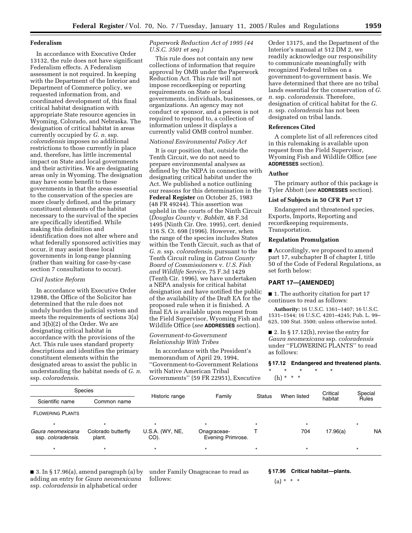#### **Federalism**

In accordance with Executive Order 13132, the rule does not have significant Federalism effects. A Federalism assessment is not required. In keeping with the Department of the Interior and Department of Commerce policy, we requested information from, and coordinated development of, this final critical habitat designation with appropriate State resource agencies in Wyoming, Colorado, and Nebraska. The designation of critical habitat in areas currently occupied by *G. n.* ssp. *coloradensis* imposes no additional restrictions to those currently in place and, therefore, has little incremental impact on State and local governments and their activities. We are designating areas only in Wyoming. The designation may have some benefit to these governments in that the areas essential to the conservation of the species are more clearly defined, and the primary constituent elements of the habitat necessary to the survival of the species are specifically identified. While making this definition and identification does not alter where and what federally sponsored activities may occur, it may assist these local governments in long-range planning (rather than waiting for case-by-case section 7 consultations to occur).

#### *Civil Justice Reform*

In accordance with Executive Order 12988, the Office of the Solicitor has determined that the rule does not unduly burden the judicial system and meets the requirements of sections 3(a) and 3(b)(2) of the Order. We are designating critical habitat in accordance with the provisions of the Act. This rule uses standard property descriptions and identifies the primary constituent elements within the designated areas to assist the public in understanding the habitat needs of *G. n.* ssp. *coloradensis.*

#### *Paperwork Reduction Act of 1995 (44 U.S.C. 3501 et seq.)*

This rule does not contain any new collections of information that require approval by OMB under the Paperwork Reduction Act. This rule will not impose recordkeeping or reporting requirements on State or local governments, individuals, businesses, or organizations. An agency may not conduct or sponsor, and a person is not required to respond to, a collection of information unless it displays a currently valid OMB control number.

#### *National Environmental Policy Act*

It is our position that, outside the Tenth Circuit, we do not need to prepare environmental analyses as defined by the NEPA in connection with designating critical habitat under the Act. We published a notice outlining our reasons for this determination in the **Federal Register** on October 25, 1983 (48 FR 49244). This assertion was upheld in the courts of the Ninth Circuit (*Douglas County* v. *Babbitt*, 48 F.3d 1495 (Ninth Cir. Ore. 1995), cert. denied 116 S. Ct. 698 (1996). However, when the range of the species includes States within the Tenth Circuit, such as that of *G. n.* ssp. *coloradensis*, pursuant to the Tenth Circuit ruling in *Catron County Board of Commissioners* v. *U.S. Fish and Wildlife Service*, 75 F.3d 1429 (Tenth Cir. 1996), we have undertaken a NEPA analysis for critical habitat designation and have notified the public of the availability of the Draft EA for the proposed rule when it is finished. A final EA is available upon request from the Field Supervisor, Wyoming Fish and Wildlife Office (*see* **ADDRESSES** section).

#### *Government-to-Government Relationship With Tribes*

In accordance with the President's memorandum of April 29, 1994, ''Government-to-Government Relations with Native American Tribal Governments'' (59 FR 22951), Executive Order 13175, and the Department of the Interior's manual at 512 DM 2, we readily acknowledge our responsibility to communicate meaningfully with recognized Federal tribes on a government-to-government basis. We have determined that there are no tribal lands essential for the conservation of *G. n.* ssp. *coloradensis.* Therefore, designation of critical habitat for the *G. n.* ssp. *coloradensis* has not been designated on tribal lands.

#### **References Cited**

A complete list of all references cited in this rulemaking is available upon request from the Field Supervisor, Wyoming Fish and Wildlife Office (*see* **ADDRESSES** section).

#### **Author**

The primary author of this package is Tyler Abbott (*see* **ADDRESSES** section).

#### **List of Subjects in 50 CFR Part 17**

Endangered and threatened species, Exports, Imports, Reporting and recordkeeping requirements, Transportation.

#### **Regulation Promulgation**

■ Accordingly, we proposed to amend part 17, subchapter B of chapter I, title 50 of the Code of Federal Regulations, as set forth below:

#### **PART 17—[AMENDED]**

■ 1. The authority citation for part 17 continues to read as follows:

**Authority:** 16 U.S.C. 1361–1407; 16 U.S.C. 1531–1544; 16 U.S.C. 4201–4245; Pub. L. 99– 625, 100 Stat. 3500; unless otherwise noted.

■ 2. In § 17.12(h), revise the entry for *Gaura neomexicana* ssp. *coloradensis* under ''FLOWERING PLANTS'' to read as follows:

#### **§ 17.12 Endangered and threatened plants.**

\* \* \* \* \* (h) \* \* \*

| Species                                 |                              |                         |                                  |               | When listed | Critical | Special |           |
|-----------------------------------------|------------------------------|-------------------------|----------------------------------|---------------|-------------|----------|---------|-----------|
| Scientific name                         | Common name                  | Historic range          | Family                           | <b>Status</b> |             | habitat  | Rules   |           |
| <b>FLOWERING PLANTS</b>                 |                              |                         |                                  |               |             |          |         |           |
|                                         | $\ddot{\phantom{0}}$         | $\star$                 | ≁                                |               | $\star$     |          | ≁       |           |
| Gaura neomexicana<br>ssp. coloradensis. | Colorado butterfly<br>plant. | U.S.A. (WY, NE,<br>CO). | Onagraceae-<br>Evening Primrose. |               | 704         | 17.96(a) |         | <b>NA</b> |
| $\star$                                 | $\star$                      | $\star$                 | $\star$                          | $\star$       | $\star$     |          | $\star$ |           |

■ 3. In § 17.96(a), amend paragraph (a) by under Family Onagraceae to read as adding an entry for *Gaura neomexicana* ssp. *coloradensis* in alphabetical order

follows:

**§ 17.96 Critical habitat—plants.** 

(a) \* \* \*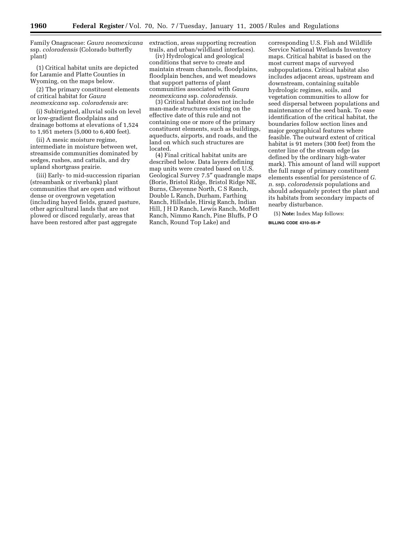Family Onagraceae: *Gaura neomexicana* ssp. *coloradensis* (Colorado butterfly plant)

(1) Critical habitat units are depicted for Laramie and Platte Counties in Wyoming, on the maps below.

(2) The primary constituent elements of critical habitat for *Gaura neomexicana* ssp. *coloradensis* are:

(i) Subirrigated, alluvial soils on level or low-gradient floodplains and drainage bottoms at elevations of 1,524 to 1,951 meters (5,000 to 6,400 feet).

(ii) A mesic moisture regime, intermediate in moisture between wet, streamside communities dominated by sedges, rushes, and cattails, and dry upland shortgrass prairie.

(iii) Early- to mid-succession riparian (streambank or riverbank) plant communities that are open and without dense or overgrown vegetation (including hayed fields, grazed pasture, other agricultural lands that are not plowed or disced regularly, areas that have been restored after past aggregate

extraction, areas supporting recreation trails, and urban/wildland interfaces).

(iv) Hydrological and geological conditions that serve to create and maintain stream channels, floodplains, floodplain benches, and wet meadows that support patterns of plant communities associated with *Gaura neomexicana* ssp. *coloradensis.*

(3) Critical habitat does not include man-made structures existing on the effective date of this rule and not containing one or more of the primary constituent elements, such as buildings, aqueducts, airports, and roads, and the land on which such structures are located.

(4) Final critical habitat units are described below. Data layers defining map units were created based on U.S. Geological Survey 7.5″ quadrangle maps (Borie, Bristol Ridge, Bristol Ridge NE, Burns, Cheyenne North, C S Ranch, Double L Ranch, Durham, Farthing Ranch, Hillsdale, Hirsig Ranch, Indian Hill, J H D Ranch, Lewis Ranch, Moffett Ranch, Nimmo Ranch, Pine Bluffs, P O Ranch, Round Top Lake) and

corresponding U.S. Fish and Wildlife Service National Wetlands Inventory maps. Critical habitat is based on the most current maps of surveyed subpopulations. Critical habitat also includes adjacent areas, upstream and downstream, containing suitable hydrologic regimes, soils, and vegetation communities to allow for seed dispersal between populations and maintenance of the seed bank. To ease identification of the critical habitat, the boundaries follow section lines and major geographical features where feasible. The outward extent of critical habitat is 91 meters (300 feet) from the center line of the stream edge (as defined by the ordinary high-water mark). This amount of land will support the full range of primary constituent elements essential for persistence of *G. n.* ssp. *coloradensis* populations and should adequately protect the plant and its habitats from secondary impacts of nearby disturbance.

(5) **Note:** Index Map follows:

**BILLING CODE 4310–55–P**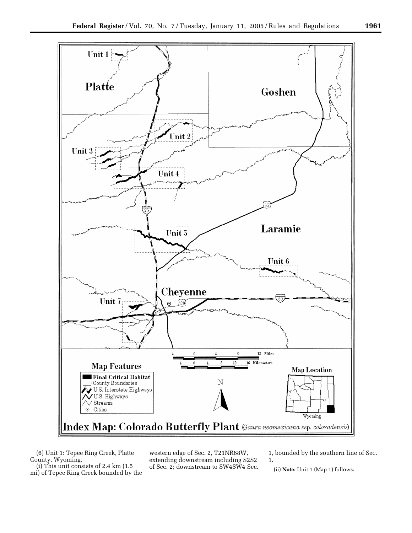

(6) Unit 1: Tepee Ring Creek, Platte County, Wyoming. (i) This unit consists of 2.4 km (1.5

mi) of Tepee Ring Creek bounded by the

western edge of Sec. 2, T21NR68W, extending downstream including S2S2 of Sec. 2; downstream to SW4SW4 Sec. 1, bounded by the southern line of Sec. 1.

(ii) **Note:** Unit 1 (Map 1) follows: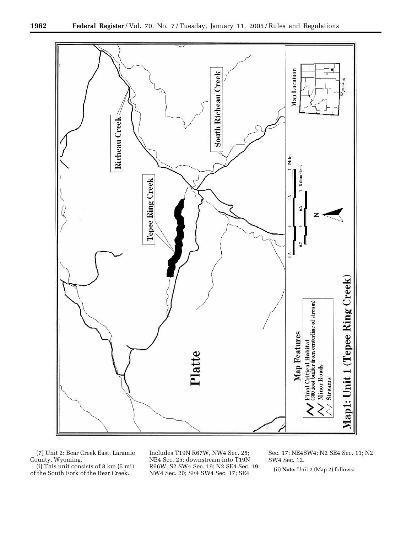

(7) Unit 2: Bear Creek East, Laramie County, Wyoming.

(i) This unit consists of 8 km (5 mi) of the South Fork of the Bear Creek.

Includes T19N R67W, NW4 Sec. 25; NE4 Sec. 25; downstream into T19N R66W, S2 SW4 Sec. 19; N2 SE4 Sec. 19; NW4 Sec. 20; SE4 SW4 Sec. 17; SE4

Sec. 17; NE4SW4; N2 SE4 Sec. 11; N2 SW4 Sec. 12.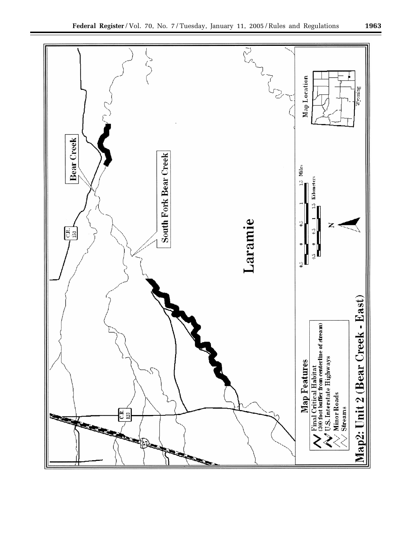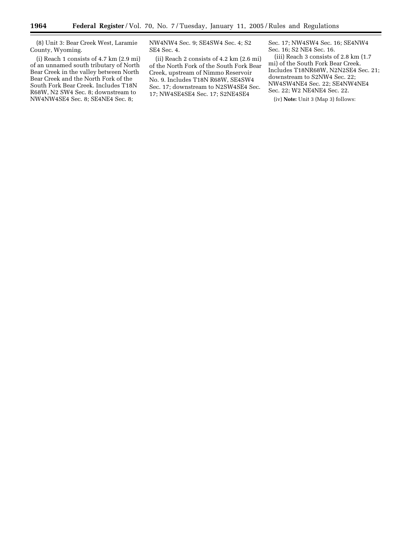$\equiv$ 

(8) Unit 3: Bear Creek West, Laramie County, Wyoming.

(i) Reach 1 consists of 4.7 km (2.9 mi) of an unnamed south tributary of North Bear Creek in the valley between North Bear Creek and the North Fork of the South Fork Bear Creek. Includes T18N R68W, N2 SW4 Sec. 8; downstream to NW4NW4SE4 Sec. 8; SE4NE4 Sec. 8;

NW4NW4 Sec. 9; SE4SW4 Sec. 4; S2 SE4 Sec. 4.

(ii) Reach 2 consists of 4.2 km (2.6 mi) of the North Fork of the South Fork Bear Creek, upstream of Nimmo Reservoir No. 9. Includes T18N R68W, SE4SW4 Sec. 17; downstream to N2SW4SE4 Sec. 17; NW4SE4SE4 Sec. 17; S2NE4SE4

Sec. 17; NW4SW4 Sec. 16; SE4NW4 Sec. 16; S2 NE4 Sec. 16.

(iii) Reach 3 consists of 2.8 km (1.7 mi) of the South Fork Bear Creek. Includes T18NR68W, N2N2SE4 Sec. 21; downstream to S2NW4 Sec. 22; NW4SW4NE4 Sec. 22; SE4NW4NE4 Sec. 22; W2 NE4NE4 Sec. 22.

(iv) **Note:** Unit 3 (Map 3) follows: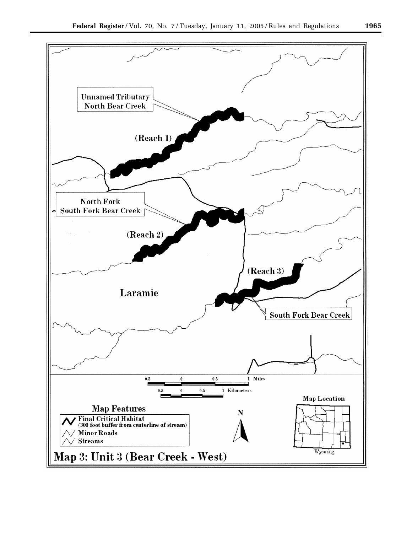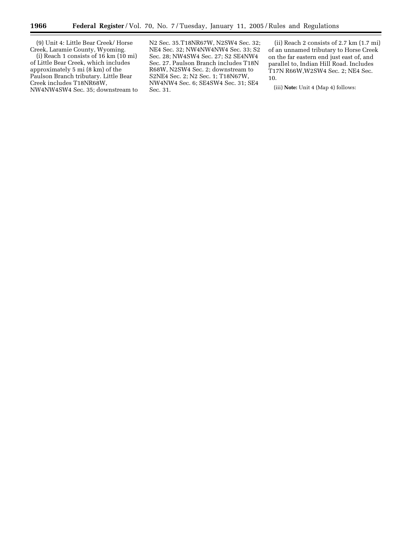▀

(9) Unit 4: Little Bear Creek/ Horse Creek, Laramie County, Wyoming.

(i) Reach 1 consists of 16 km (10 mi) of Little Bear Creek, which includes approximately 5 mi (8 km) of the Paulson Branch tributary. Little Bear Creek includes T18NR68W, NW4NW4SW4 Sec. 35; downstream to N2 Sec. 35.T18NR67W, N2SW4 Sec. 32; NE4 Sec. 32; NW4NW4NW4 Sec. 33; S2 Sec. 28; NW4SW4 Sec. 27; S2 SE4NW4 Sec. 27. Paulson Branch includes T18N R68W, N2SW4 Sec. 2; downstream to S2NE4 Sec. 2; N2 Sec. 1; T18N67W, NW4NW4 Sec. 6; SE4SW4 Sec. 31; SE4 Sec. 31.

(ii) Reach 2 consists of 2.7 km (1.7 mi) of an unnamed tributary to Horse Creek on the far eastern end just east of, and parallel to, Indian Hill Road. Includes T17N R66W,W2SW4 Sec. 2; NE4 Sec. 10.

(iii) **Note:** Unit 4 (Map 4) follows: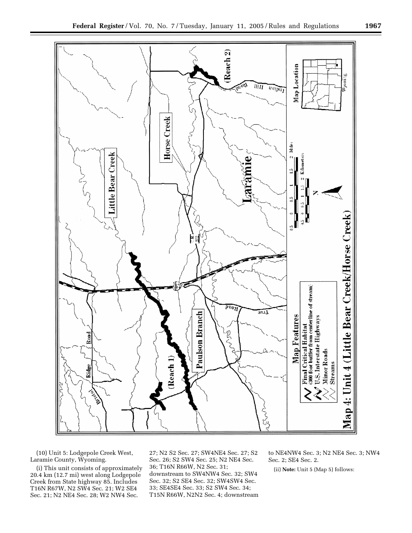

(10) Unit 5: Lodgepole Creek West, Laramie County, Wyoming.

(i) This unit consists of approximately 20.4 km (12.7 mi) west along Lodgepole Creek from State highway 85. Includes T16N R67W, N2 SW4 Sec. 21; W2 SE4 Sec. 21; N2 NE4 Sec. 28; W2 NW4 Sec.

27; N2 S2 Sec. 27; SW4NE4 Sec. 27; S2 Sec. 26; S2 SW4 Sec. 25; N2 NE4 Sec. 36; T16N R66W, N2 Sec. 31; downstream to SW4NW4 Sec. 32; SW4 Sec. 32; S2 SE4 Sec. 32; SW4SW4 Sec. 33; SE4SE4 Sec. 33; S2 SW4 Sec. 34; T15N R66W, N2N2 Sec. 4; downstream

to NE4NW4 Sec. 3; N2 NE4 Sec. 3; NW4 Sec. 2; SE4 Sec. 2.

(ii) **Note:** Unit 5 (Map 5) follows: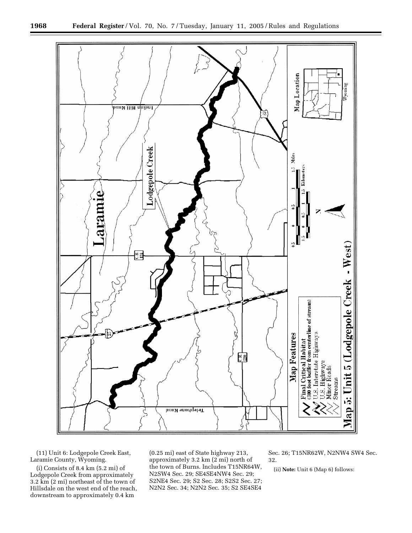

(11) Unit 6: Lodgepole Creek East, Laramie County, Wyoming.

(i) Consists of 8.4 km (5.2 mi) of Lodgepole Creek from approximately 3.2 km (2 mi) northeast of the town of Hillsdale on the west end of the reach, downstream to approximately 0.4 km

(0.25 mi) east of State highway 213, approximately 3.2 km (2 mi) north of the town of Burns. Includes T15NR64W, N2SW4 Sec. 29; SE4SE4NW4 Sec. 29; S2NE4 Sec. 29; S2 Sec. 28; S2S2 Sec. 27; N2N2 Sec. 34; N2N2 Sec. 35; S2 SE4SE4 Sec. 26; T15NR62W, N2NW4 SW4 Sec. 32.

 $\sum_{i=1}^{n}$ 

(ii) **Note:** Unit 6 (Map 6) follows: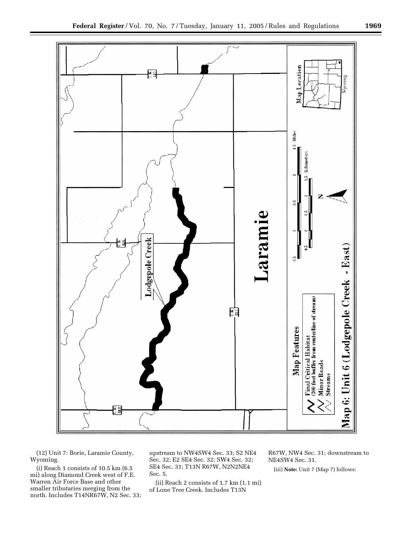

(12) Unit 7: Borie, Laramie County, Wyoming.

U

(i) Reach 1 consists of 10.5 km (6.5 mi) along Diamond Creek west of F.E. Warren Air Force Base and other smaller tributaries merging from the north. Includes T14NR67W, N2 Sec. 33; upstream to NW4SW4 Sec. 33; S2 NE4 Sec. 32; E2 SE4 Sec. 32; SW4 Sec. 32; SE4 Sec. 31; T13N R67W, N2N2NE4 Sec. 5.

(ii) Reach 2 consists of 1.7 km (1.1 mi) of Lone Tree Creek. Includes T13N

R67W, NW4 Sec. 31; downstream to NE4SW4 Sec. 31.

Minor Roads **Streams** 

(iii) **Note:** Unit 7 (Map 7) follows: